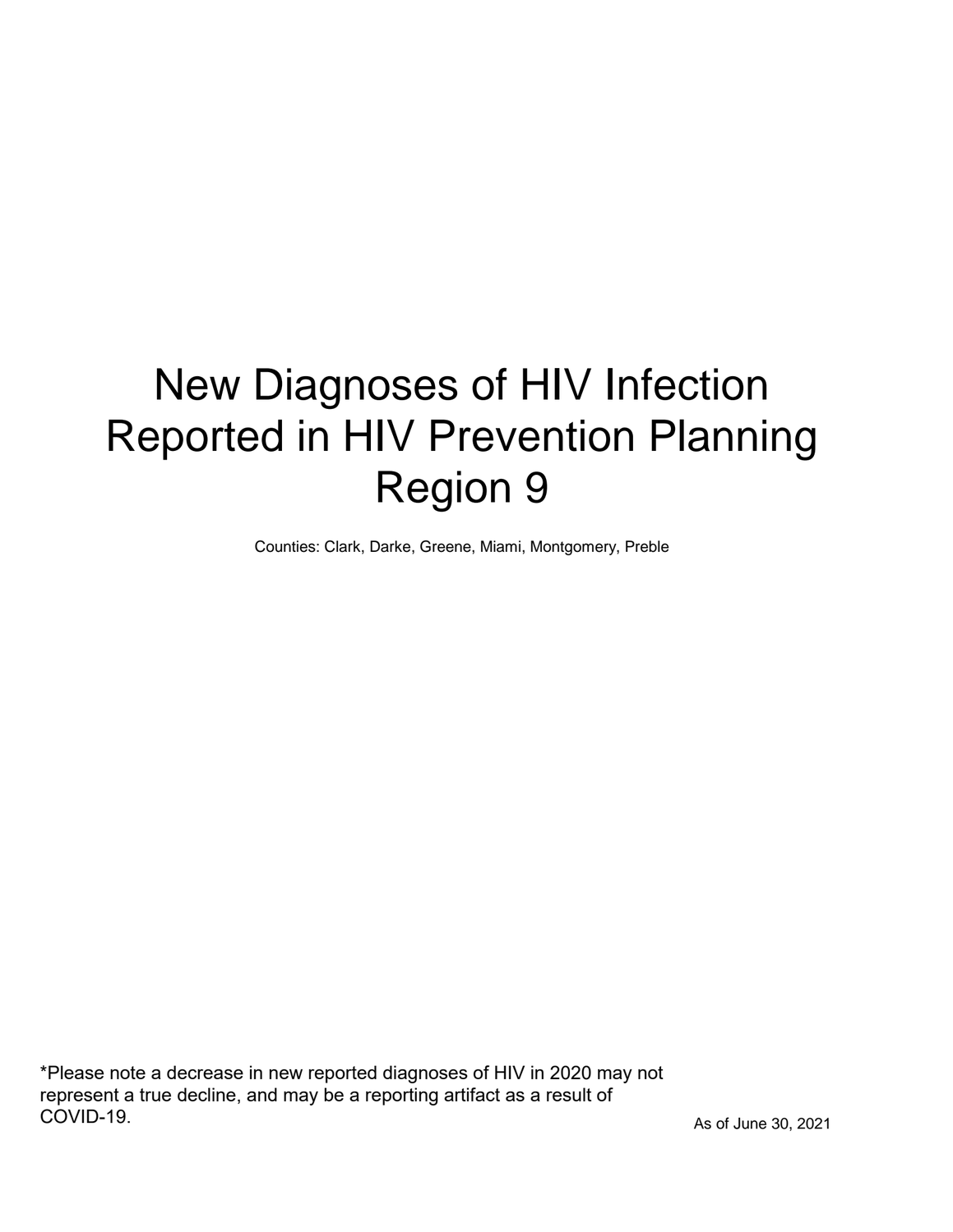# New Diagnoses of HIV Infection Reported in HIV Prevention Planning Region 9

Counties: Clark, Darke, Greene, Miami, Montgomery, Preble

\*Please note a decrease in new reported diagnoses of HIV in 2020 may not represent a true decline, and may be a reporting artifact as a result of COVID-19.

As of June 30, 2021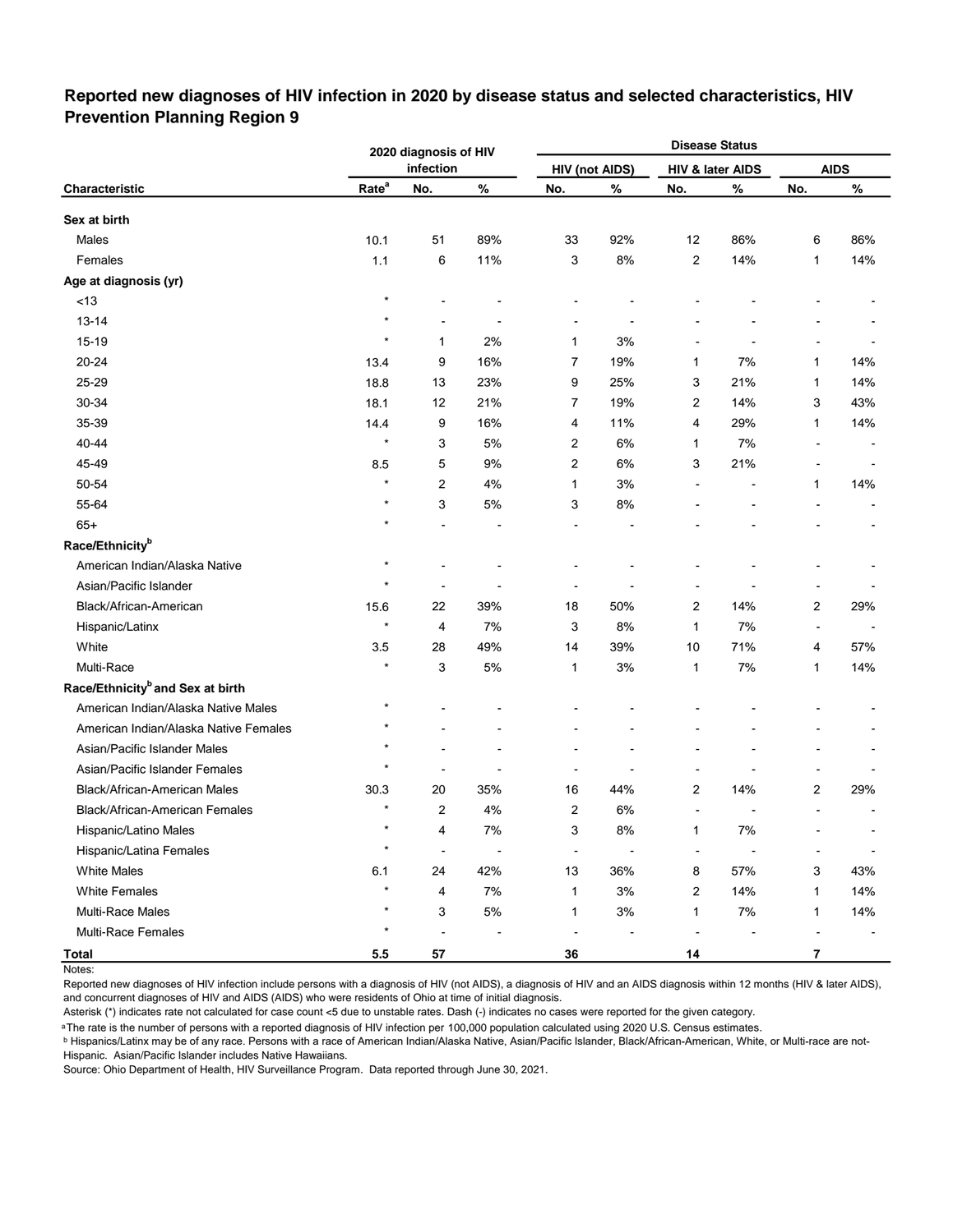### **Reported new diagnoses of HIV infection in 2020 by disease status and selected characteristics, HIV Prevention Planning Region 9**

|                                              |                   | 2020 diagnosis of HIV    |                |                |                       |                | <b>Disease Status</b> |                         |                          |
|----------------------------------------------|-------------------|--------------------------|----------------|----------------|-----------------------|----------------|-----------------------|-------------------------|--------------------------|
|                                              |                   | infection                |                |                | <b>HIV (not AIDS)</b> |                | HIV & later AIDS      |                         | <b>AIDS</b>              |
| Characteristic                               | Rate <sup>a</sup> | No.                      | $\%$           | No.            | %                     | No.            | %                     | No.                     | $\%$                     |
| Sex at birth                                 |                   |                          |                |                |                       |                |                       |                         |                          |
| Males                                        | 10.1              | 51                       | 89%            | 33             | 92%                   | 12             | 86%                   | 6                       | 86%                      |
| Females                                      | 1.1               | 6                        | 11%            | 3              | 8%                    | 2              | 14%                   | 1                       | 14%                      |
| Age at diagnosis (yr)                        |                   |                          |                |                |                       |                |                       |                         |                          |
| $<13$                                        | $\star$           |                          |                |                |                       |                |                       |                         |                          |
| $13 - 14$                                    |                   |                          |                |                |                       |                |                       |                         |                          |
| 15-19                                        |                   | 1                        | 2%             | 1              | 3%                    |                |                       |                         |                          |
| 20-24                                        | 13.4              | 9                        | 16%            | 7              | 19%                   | 1              | 7%                    | 1                       | 14%                      |
| 25-29                                        | 18.8              | 13                       | 23%            | 9              | 25%                   | 3              | 21%                   | 1                       | 14%                      |
| 30-34                                        | 18.1              | 12                       | 21%            | 7              | 19%                   | 2              | 14%                   | 3                       | 43%                      |
| 35-39                                        | 14.4              | 9                        | 16%            | 4              | 11%                   | 4              | 29%                   | 1                       | 14%                      |
| 40-44                                        | $\star$           | 3                        | 5%             | 2              | 6%                    | 1              | 7%                    |                         |                          |
| 45-49                                        | 8.5               | 5                        | 9%             | 2              | 6%                    | 3              | 21%                   |                         |                          |
| 50-54                                        | $\star$           | 2                        | 4%             | 1              | 3%                    |                |                       | 1                       | 14%                      |
| 55-64                                        |                   | 3                        | 5%             | 3              | 8%                    |                |                       |                         |                          |
| $65+$                                        |                   |                          |                |                |                       |                |                       |                         |                          |
| Race/Ethnicity <sup>b</sup>                  |                   |                          |                |                |                       |                |                       |                         |                          |
| American Indian/Alaska Native                | $\star$           |                          |                |                |                       |                |                       |                         |                          |
| Asian/Pacific Islander                       |                   |                          |                |                |                       |                |                       |                         |                          |
| Black/African-American                       | 15.6              | 22                       | 39%            | 18             | 50%                   | 2              | 14%                   | 2                       | 29%                      |
| Hispanic/Latinx                              | $\star$           | 4                        | 7%             | 3              | 8%                    | $\mathbf{1}$   | 7%                    | $\blacksquare$          |                          |
| White                                        | 3.5               | 28                       | 49%            | 14             | 39%                   | 10             | 71%                   | 4                       | 57%                      |
| Multi-Race                                   |                   | 3                        | 5%             | 1              | 3%                    | 1              | 7%                    | 1                       | 14%                      |
| Race/Ethnicity <sup>b</sup> and Sex at birth |                   |                          |                |                |                       |                |                       |                         |                          |
| American Indian/Alaska Native Males          | $^\star$          |                          |                |                |                       |                |                       |                         |                          |
| American Indian/Alaska Native Females        | $\star$           |                          |                |                |                       |                |                       |                         |                          |
| Asian/Pacific Islander Males                 |                   |                          |                |                |                       |                |                       |                         |                          |
| Asian/Pacific Islander Females               |                   |                          |                |                |                       |                |                       |                         |                          |
| Black/African-American Males                 | 30.3              | 20                       | 35%            | 16             | 44%                   | $\overline{c}$ | 14%                   | 2                       | 29%                      |
| Black/African-American Females               | $\star$           | $\overline{2}$           | 4%             | 2              | 6%                    |                |                       |                         |                          |
| Hispanic/Latino Males                        | $\star$           | 4                        | $7\%$          | 3              | $8\%$                 | 1              | $7\%$                 |                         |                          |
| Hispanic/Latina Females                      | $\star$           | $\overline{\phantom{a}}$ | $\blacksquare$ | $\blacksquare$ |                       | $\blacksquare$ |                       |                         |                          |
| <b>White Males</b>                           | 6.1               | 24                       | 42%            | 13             | 36%                   | 8              | 57%                   | 3                       | 43%                      |
| <b>White Females</b>                         | $\star$           | 4                        | $7\%$          | $\mathbf{1}$   | $3%$                  | $\overline{c}$ | 14%                   | 1                       | 14%                      |
| Multi-Race Males                             | $\star$           | 3                        | $5\%$          | $\mathbf{1}$   | $3%$                  | $\mathbf{1}$   | $7\%$                 | 1                       | 14%                      |
| Multi-Race Females                           | $^\star$          | $\blacksquare$           |                | $\blacksquare$ |                       | $\blacksquare$ |                       | $\blacksquare$          | $\overline{\phantom{a}}$ |
| Total                                        | $5.5\,$           | ${\bf 57}$               |                | 36             |                       | 14             |                       | $\overline{\mathbf{7}}$ |                          |

Notes:

Reported new diagnoses of HIV infection include persons with a diagnosis of HIV (not AIDS), a diagnosis of HIV and an AIDS diagnosis within 12 months (HIV & later AIDS), and concurrent diagnoses of HIV and AIDS (AIDS) who were residents of Ohio at time of initial diagnosis.

Asterisk (\*) indicates rate not calculated for case count <5 due to unstable rates. Dash (-) indicates no cases were reported for the given category.

<sup>a</sup>The rate is the number of persons with a reported diagnosis of HIV infection per 100,000 population calculated using 2020 U.S. Census estimates.

ᵇ Hispanics/Latinx may be of any race. Persons with a race of American Indian/Alaska Native, Asian/Pacific Islander, Black/African-American, White, or Multi-race are not-Hispanic. Asian/Pacific Islander includes Native Hawaiians.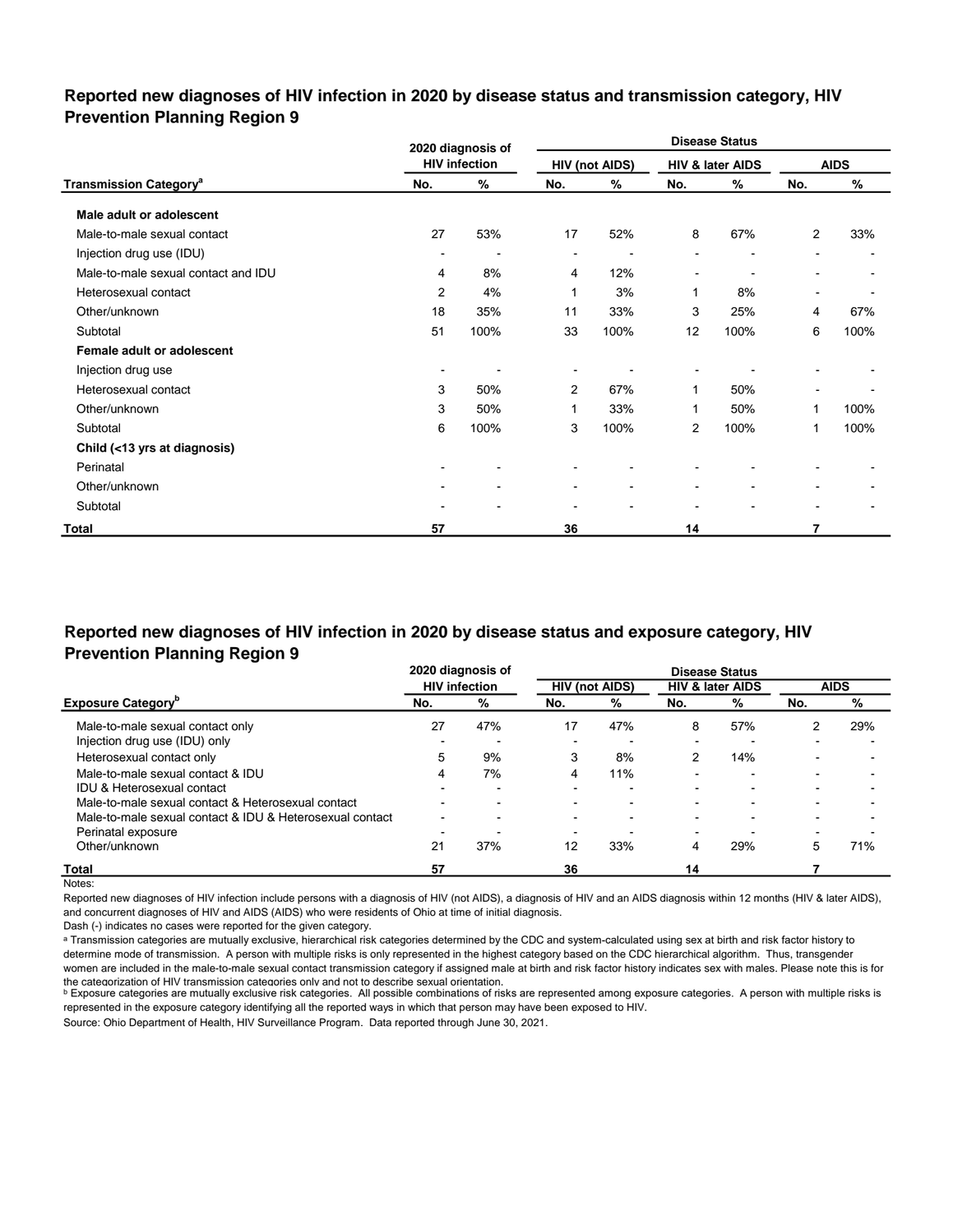### **Reported new diagnoses of HIV infection in 2020 by disease status and transmission category, HIV Prevention Planning Region 9**

|                                          |        | 2020 diagnosis of    |                |                       |                | <b>Disease Status</b>    |                          |             |
|------------------------------------------|--------|----------------------|----------------|-----------------------|----------------|--------------------------|--------------------------|-------------|
|                                          |        | <b>HIV infection</b> |                | <b>HIV (not AIDS)</b> |                | HIV & later AIDS         |                          | <b>AIDS</b> |
| <b>Transmission Category<sup>a</sup></b> | No.    | %                    | No.            | ℅                     | No.            | %                        | No.                      | %           |
| Male adult or adolescent                 |        |                      |                |                       |                |                          |                          |             |
| Male-to-male sexual contact              | 27     | 53%                  | 17             | 52%                   | 8              | 67%                      | $\overline{2}$           | 33%         |
| Injection drug use (IDU)                 |        |                      |                |                       |                |                          | $\blacksquare$           |             |
| Male-to-male sexual contact and IDU      | 4      | 8%                   | 4              | 12%                   | $\blacksquare$ | $\overline{\phantom{a}}$ | $\blacksquare$           |             |
| Heterosexual contact                     | 2      | 4%                   | 1              | 3%                    | 1              | 8%                       | $\overline{\phantom{a}}$ |             |
| Other/unknown                            | 18     | 35%                  | 11             | 33%                   | 3              | 25%                      | 4                        | 67%         |
| Subtotal                                 | 51     | 100%                 | 33             | 100%                  | 12             | 100%                     | 6                        | 100%        |
| Female adult or adolescent               |        |                      |                |                       |                |                          |                          |             |
| Injection drug use                       | $\sim$ |                      | $\blacksquare$ |                       |                |                          |                          |             |
| Heterosexual contact                     | 3      | 50%                  | 2              | 67%                   | 1              | 50%                      |                          |             |
| Other/unknown                            | 3      | 50%                  | 1              | 33%                   | 1              | 50%                      | 1                        | 100%        |
| Subtotal                                 | 6      | 100%                 | 3              | 100%                  | $\overline{2}$ | 100%                     | 1                        | 100%        |
| Child (<13 yrs at diagnosis)             |        |                      |                |                       |                |                          |                          |             |
| Perinatal                                |        |                      |                |                       |                |                          |                          |             |
| Other/unknown                            |        |                      |                | ۰                     |                |                          | ۰                        |             |
| Subtotal                                 |        |                      |                |                       |                |                          | $\blacksquare$           |             |
| <b>Total</b>                             | 57     |                      | 36             |                       | 14             |                          | 7                        |             |

## **Reported new diagnoses of HIV infection in 2020 by disease status and exposure category, HIV Prevention Planning Region 9**

|                                                          |                | 2020 diagnosis of    |                          |     |                          | <b>Disease Status</b>       |     |             |
|----------------------------------------------------------|----------------|----------------------|--------------------------|-----|--------------------------|-----------------------------|-----|-------------|
|                                                          |                | <b>HIV</b> infection | <b>HIV (not AIDS)</b>    |     |                          | <b>HIV &amp; later AIDS</b> |     | <b>AIDS</b> |
| <b>Exposure Category</b>                                 | No.            | %                    | No.                      | %   | No.                      | %                           | No. | %           |
| Male-to-male sexual contact only                         | 27             | 47%                  | 17                       | 47% | 8                        | 57%                         | 2   | 29%         |
| Injection drug use (IDU) only                            | -              |                      | $\overline{\phantom{0}}$ |     | $\sim$                   |                             |     |             |
| Heterosexual contact only                                | 5              | 9%                   | 3                        | 8%  | 2                        | 14%                         |     |             |
| Male-to-male sexual contact & IDU                        | 4              | 7%                   | 4                        | 11% | $\overline{\phantom{0}}$ | -                           |     |             |
| <b>IDU &amp; Heterosexual contact</b>                    |                |                      |                          |     | -                        |                             |     |             |
| Male-to-male sexual contact & Heterosexual contact       |                | -                    |                          |     |                          |                             |     |             |
| Male-to-male sexual contact & IDU & Heterosexual contact | $\blacksquare$ | -                    | $\overline{\phantom{0}}$ |     |                          |                             |     |             |
| Perinatal exposure                                       | -              |                      | $\overline{\phantom{0}}$ |     | $\sim$                   |                             |     |             |
| Other/unknown                                            | 21             | 37%                  | 12                       | 33% | 4                        | 29%                         | 5   | 71%         |
| <b>Total</b>                                             | 57             |                      | 36                       |     | 14                       |                             |     |             |

Notes:

Reported new diagnoses of HIV infection include persons with a diagnosis of HIV (not AIDS), a diagnosis of HIV and an AIDS diagnosis within 12 months (HIV & later AIDS), and concurrent diagnoses of HIV and AIDS (AIDS) who were residents of Ohio at time of initial diagnosis.

Dash (-) indicates no cases were reported for the given category.

a Transmission categories are mutually exclusive, hierarchical risk categories determined by the CDC and system-calculated using sex at birth and risk factor history to determine mode of transmission. A person with multiple risks is only represented in the highest category based on the CDC hierarchical algorithm. Thus, transgender women are included in the male-to-male sexual contact transmission category if assigned male at birth and risk factor history indicates sex with males. Please note this is for the categorization of HIV transmission categories only and not to describe sexual orientation.

**b** Exposure categories are mutually exclusive risk categories. All possible combinations of risks are represented among exposure categories. A person with multiple risks is represented in the exposure category identifying all the reported ways in which that person may have been exposed to HIV.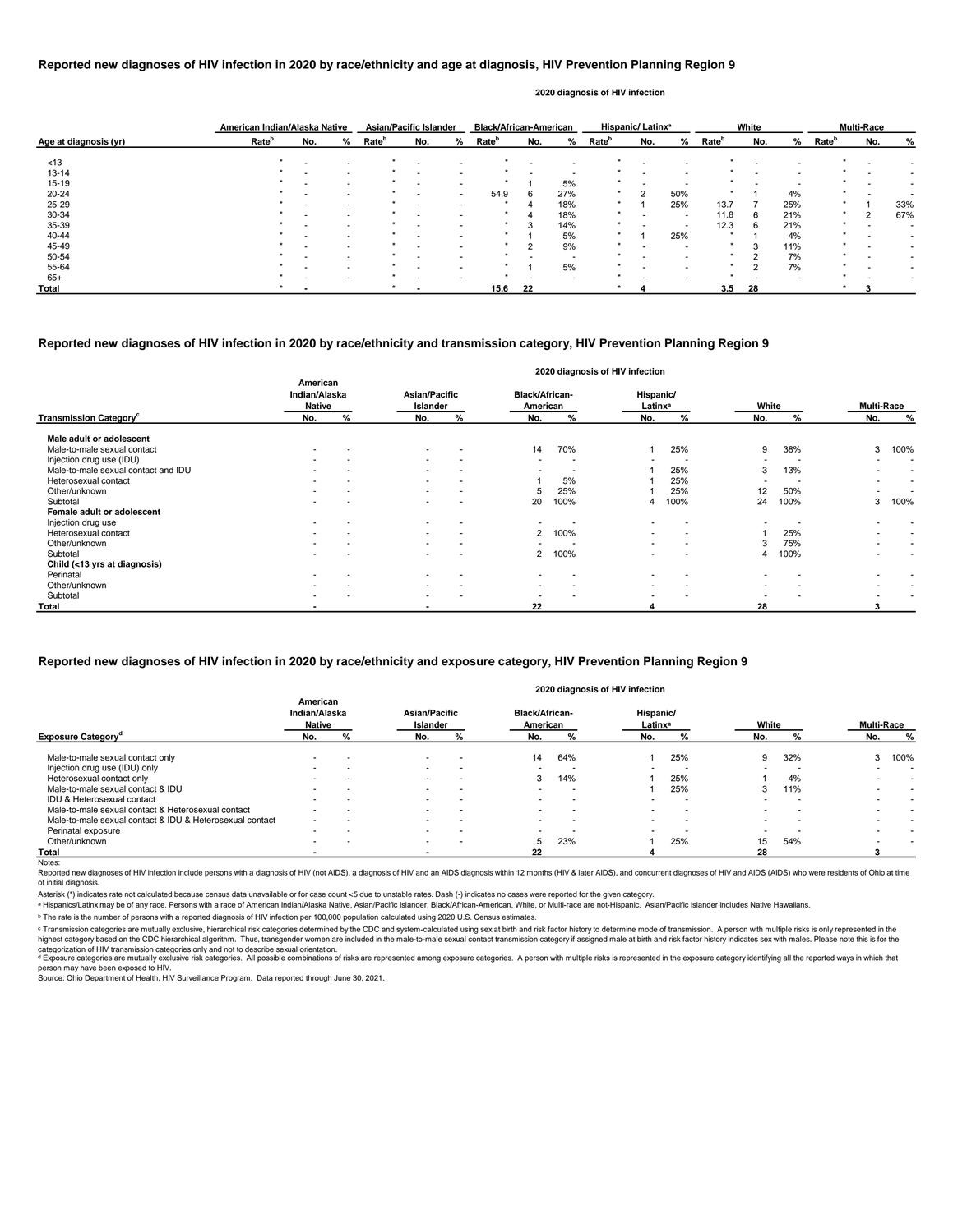|                       | American Indian/Alaska Native |                          |                          | <b>Asian/Pacific Islander</b> |                          |        | <b>Black/African-American</b> |     |                          |                   | <b>Hispanic/Latinx<sup>ª</sup></b> |                          |                   | White       |     |                   | <b>Multi-Race</b> |     |
|-----------------------|-------------------------------|--------------------------|--------------------------|-------------------------------|--------------------------|--------|-------------------------------|-----|--------------------------|-------------------|------------------------------------|--------------------------|-------------------|-------------|-----|-------------------|-------------------|-----|
| Age at diagnosis (yr) | Rate <sup>b</sup>             | No.                      | %                        | Rate <sup>b</sup>             | No.                      | %      | Rate <sup>r</sup>             | No. | %                        | Rate <sup>b</sup> | No.                                | %                        | Rate <sup>b</sup> | No.         | ℅   | Rate <sup>b</sup> | No.               | %   |
| < 13                  | $\star$                       | $\overline{\phantom{0}}$ | $\overline{\phantom{a}}$ |                               | $\overline{\phantom{0}}$ |        |                               |     | $\overline{\phantom{a}}$ |                   | $\overline{\phantom{0}}$           |                          |                   |             |     |                   |                   |     |
| $13 - 14$             |                               |                          | $\sim$                   |                               |                          |        |                               |     | $\overline{\phantom{a}}$ |                   |                                    |                          |                   |             |     |                   |                   |     |
| $15 - 19$             |                               | $\overline{\phantom{0}}$ | $\sim$                   |                               | $\,$ $\,$                |        |                               |     | 5%                       | $\ast$            | $\,$ $\,$                          | $\,$                     |                   |             | . . |                   |                   |     |
| $20 - 24$             |                               |                          | $\sim$                   |                               |                          | $\sim$ | 54.9                          | 6   | 27%                      | $\star$           | 2                                  | 50%                      | $\ast$            |             | 4%  |                   |                   |     |
| 25-29                 |                               |                          |                          |                               |                          |        | $\star$                       |     | 18%                      | $\star$           |                                    | 25%                      | 13.7              |             | 25% |                   |                   | 33% |
| 30-34                 |                               |                          | $\,$ $\,$                |                               |                          |        |                               |     | 18%                      | $\star$           |                                    | $\blacksquare$           | 11.8              | 6           | 21% |                   | $\overline{2}$    | 67% |
| 35-39                 |                               |                          | $\sim$                   |                               |                          |        |                               | ◠   | 14%                      | $\ast$            |                                    | $\overline{\phantom{a}}$ | 12.3              | 6           | 21% |                   |                   |     |
| 40-44                 |                               |                          | $\sim$                   |                               | $\overline{\phantom{a}}$ |        | $\star$                       |     | 5%                       | *                 |                                    | 25%                      | $\star$           |             | 4%  | $\star$           |                   |     |
| 45-49                 |                               |                          |                          |                               |                          |        |                               |     | 9%                       | $\ast$            |                                    |                          | $\ast$            | $\sim$<br>5 | 11% |                   |                   |     |
| 50-54                 |                               | $\overline{\phantom{0}}$ |                          |                               |                          |        |                               |     | $\overline{\phantom{a}}$ |                   |                                    |                          |                   | ◠           | 7%  |                   |                   |     |
| 55-64                 |                               |                          | $\sim$                   |                               | $\overline{\phantom{0}}$ |        |                               |     | 5%                       | *                 |                                    | $\blacksquare$           |                   | ົ           | 7%  |                   |                   |     |
| $65+$                 |                               |                          | $\sim$                   |                               | $\overline{\phantom{0}}$ |        | $\ast$                        |     | $\overline{\phantom{a}}$ | $\star$           |                                    |                          | $\ast$            |             |     |                   |                   |     |
| Total                 |                               |                          |                          |                               |                          |        | 15.6                          | 22  |                          |                   |                                    |                          | 3.5               | 28          |     |                   |                   |     |

Reported new diagnoses of HIV infection include persons with a diagnosis of HIV (not AIDS), a diagnosis of HIV and an AIDS diagnosis within 12 months (HIV & later AIDS), and concurrent diagnoses of HIV and AIDS (AIDS) who of initial diagnosis.

|                                           |                                            |                          |                                  |                          |                                   | 2020 diagnosis of HIV infection |                                  |                |           |      |                   |        |
|-------------------------------------------|--------------------------------------------|--------------------------|----------------------------------|--------------------------|-----------------------------------|---------------------------------|----------------------------------|----------------|-----------|------|-------------------|--------|
|                                           | American<br>Indian/Alaska<br><b>Native</b> |                          | <b>Asian/Pacific</b><br>Islander |                          | <b>Black/African-</b><br>American |                                 | Hispanic/<br>Latinx <sup>a</sup> |                | White     |      | <b>Multi-Race</b> |        |
| <b>Transmission Category</b> <sup>c</sup> | No.                                        | ℅                        | No.                              | %                        | No.                               | %                               | No.                              | %              | No.       | %    | No.               | %      |
| Male adult or adolescent                  |                                            |                          |                                  |                          |                                   |                                 |                                  |                |           |      |                   |        |
| Male-to-male sexual contact               | $\,$ $\,$                                  | $\overline{\phantom{a}}$ | $\sim$                           | $\overline{\phantom{a}}$ | 14                                | 70%                             |                                  | 25%            | 9         | 38%  | 3                 | 100%   |
| Injection drug use (IDU)                  | $\sim$                                     | $\sim$                   | $\sim$                           | $\overline{\phantom{a}}$ |                                   |                                 |                                  |                |           |      | $\,$              | $\sim$ |
| Male-to-male sexual contact and IDU       | $\blacksquare$                             |                          | $\sim$                           | $\overline{\phantom{a}}$ |                                   |                                 |                                  | 25%            | 3         | 13%  | $\blacksquare$    | $\sim$ |
| Heterosexual contact                      | ۰                                          |                          | $\sim$                           | $\overline{\phantom{a}}$ |                                   | 5%                              |                                  | 25%            |           |      | $\,$              | $\sim$ |
| Other/unknown                             |                                            |                          | $\sim$                           | $\overline{\phantom{a}}$ | 5                                 | 25%                             |                                  | 25%            | 12        | 50%  |                   | $\sim$ |
| Subtotal                                  |                                            |                          |                                  |                          | 20                                | 100%                            |                                  | 100%           | 24        | 100% | 3                 | 100%   |
| Female adult or adolescent                |                                            |                          |                                  |                          |                                   |                                 |                                  |                |           |      |                   |        |
| Injection drug use                        | ۰                                          |                          | $\,$ $\,$                        |                          |                                   |                                 |                                  |                |           |      |                   |        |
| Heterosexual contact                      | ۰                                          |                          | $\sim$                           | $\overline{\phantom{a}}$ | $\mathbf{2}^{\circ}$              | 100%                            | $\,$ $\,$                        | $\blacksquare$ |           | 25%  |                   | $\sim$ |
| Other/unknown                             | ۰                                          |                          | $\sim$                           | $\overline{\phantom{a}}$ |                                   |                                 | $\overline{\phantom{a}}$         |                | 3         | 75%  | $\,$              | $\sim$ |
| Subtotal                                  |                                            |                          |                                  |                          | $\mathbf{2}$                      | 100%                            |                                  |                |           | 100% |                   |        |
| Child (<13 yrs at diagnosis)              |                                            |                          |                                  |                          |                                   |                                 |                                  |                |           |      |                   |        |
| Perinatal                                 | $\sim$                                     |                          | $\sim$                           | $\overline{\phantom{a}}$ | $\sim$                            | $\overline{\phantom{a}}$        | $\,$ $\,$                        |                | $\sim$    |      | $\,$              |        |
| Other/unknown                             | ۰                                          |                          | $\sim$                           | $\overline{\phantom{a}}$ | . .                               |                                 | $\,$ $\,$                        | $\blacksquare$ | $\,$ $\,$ |      |                   |        |
| Subtotal                                  | ۰.                                         |                          | $\overline{\phantom{a}}$         |                          |                                   |                                 | $\overline{\phantom{a}}$         |                |           |      |                   |        |
| Total                                     |                                            |                          | $\overline{\phantom{0}}$         |                          | 22                                |                                 |                                  |                | 28        |      | 3                 |        |

© Transmission categories are mutually exclusive, hierarchical risk categories determined by the CDC and system-calculated using sex at birth and risk factor history to determine mode of transmission. A person with multip highest category based on the CDC hierarchical algorithm. Thus, transgender women are included in the male-to-male sexual contact transmission category if assigned male at birth and risk factor history indicates sex with m categorization of HIV transmission categories only and not to describe sexual orientation.

## **Reported new diagnoses of HIV infection in 2020 by race/ethnicity and age at diagnosis, HIV Prevention Planning Region 9**

d Exposure categories are mutually exclusive risk categories. All possible combinations of risks are represented among exposure categories. A person with multiple risks is represented in the exposure category identifying a person may have been exposed to HIV.

Source: Ohio Department of Health, HIV Surveillance Program. Data reported through June 30, 2021.

#### **2020 diagnosis of HIV infection**

## **Reported new diagnoses of HIV infection in 2020 by race/ethnicity and transmission category, HIV Prevention Planning Region 9**

|                                                          |                                            |     |        |                                                                                                    |        |     | 2020 diagnosis of HIV infection |     |       |     |                          |                   |
|----------------------------------------------------------|--------------------------------------------|-----|--------|----------------------------------------------------------------------------------------------------|--------|-----|---------------------------------|-----|-------|-----|--------------------------|-------------------|
|                                                          | American<br>Indian/Alaska<br><b>Native</b> |     |        | <b>Black/African-</b><br>Asian/Pacific<br>Hispanic/<br>Islander<br>American<br>Latinx <sup>a</sup> |        |     |                                 |     | White |     |                          | <b>Multi-Race</b> |
| <b>Exposure Category</b> <sup>o</sup>                    | No.                                        | %   | No.    | %                                                                                                  | No.    | %   | No.                             | %   | No.   |     | No.                      | %                 |
| Male-to-male sexual contact only                         |                                            |     | $\sim$ |                                                                                                    | 14     | 64% |                                 | 25% | 9     | 32% | 3                        | 100%              |
| Injection drug use (IDU) only                            | $\sim$                                     |     | $\sim$ | . .                                                                                                | . .    |     | $\overline{\phantom{0}}$        |     |       |     |                          |                   |
| Heterosexual contact only                                | $\,$                                       |     | $\sim$ | $\,$ $\,$                                                                                          | 3      | 14% |                                 | 25% |       | 4%  |                          |                   |
| Male-to-male sexual contact & IDU                        | $\sim$                                     |     | $\sim$ | $\overline{\phantom{a}}$                                                                           |        | . . |                                 | 25% |       | 11% |                          | $\sim$            |
| IDU & Heterosexual contact                               | $\overline{\phantom{0}}$                   |     | $\sim$ | $\overline{\phantom{0}}$                                                                           | $\sim$ |     |                                 |     |       |     | $\overline{\phantom{0}}$ | $\sim$            |
| Male-to-male sexual contact & Heterosexual contact       |                                            |     |        |                                                                                                    |        |     | $\blacksquare$                  |     |       |     |                          |                   |
| Male-to-male sexual contact & IDU & Heterosexual contact | $\sim$                                     |     |        | . .                                                                                                |        | . . | $\overline{\phantom{0}}$        |     |       |     |                          |                   |
| Perinatal exposure                                       | $\sim$                                     | . . | $\sim$ | $\sim$                                                                                             | $\sim$ | -   | $\overline{\phantom{0}}$        |     |       |     |                          | $\sim$            |
| Other/unknown                                            | $\sim$                                     |     | $\sim$ | . .                                                                                                | 5      | 23% |                                 | 25% | 15    | 54% |                          |                   |
| Total                                                    |                                            |     |        |                                                                                                    | 22     |     |                                 |     | 28    |     |                          |                   |
| Notes:                                                   |                                            |     |        |                                                                                                    |        |     |                                 |     |       |     |                          |                   |

### **Reported new diagnoses of HIV infection in 2020 by race/ethnicity and exposure category, HIV Prevention Planning Region 9**

Asterisk (\*) indicates rate not calculated because census data unavailable or for case count <5 due to unstable rates. Dash (-) indicates no cases were reported for the given category.

a Hispanics/Latinx may be of any race. Persons with a race of American Indian/Alaska Native, Asian/Pacific Islander, Black/African-American, White, or Multi-race are not-Hispanic. Asian/Pacific Islander includes Native Haw

ᵇ The rate is the number of persons with a reported diagnosis of HIV infection per 100,000 population calculated using 2020 U.S. Census estimates.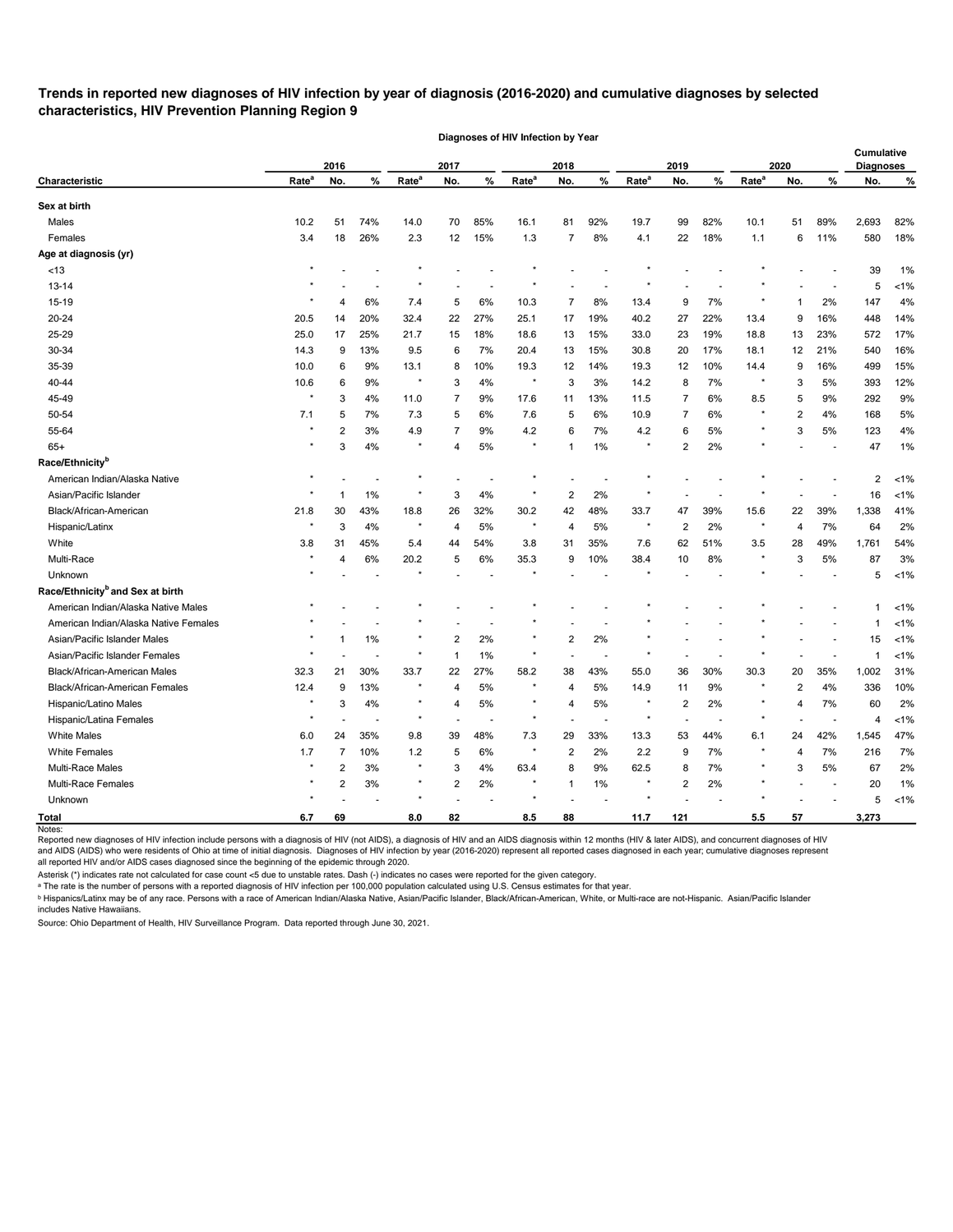# **Trends in reported new diagnoses of HIV infection by year of diagnosis (2016-2020) and cumulative diagnoses by selected characteristics, HIV Prevention Planning Region 9**

|                                              |                   | 2016           |                |                   | 2017           |                          |                   | 2018           |                          |                   | 2019           |                |                   | 2020 |                | Cumulative<br><b>Diagnoses</b> |         |
|----------------------------------------------|-------------------|----------------|----------------|-------------------|----------------|--------------------------|-------------------|----------------|--------------------------|-------------------|----------------|----------------|-------------------|------|----------------|--------------------------------|---------|
| Characteristic                               | Rate <sup>a</sup> | No.            | %              | Rate <sup>a</sup> | No.            | %                        | Rate <sup>a</sup> | No.            | %                        | Rate <sup>a</sup> | No.            | %              | Rate <sup>a</sup> | No.  | %              | No.                            | %       |
| Sex at birth                                 |                   |                |                |                   |                |                          |                   |                |                          |                   |                |                |                   |      |                |                                |         |
| Males                                        | 10.2              | 51             | 74%            | 14.0              | 70             | 85%                      | 16.1              | 81             | 92%                      | 19.7              | 99             | 82%            | 10.1              | 51   | 89%            | 2,693                          | 82%     |
| Females                                      | 3.4               | 18             | 26%            | 2.3               | 12             | 15%                      | 1.3               | 7              | 8%                       | 4.1               | 22             | 18%            | 1.1               | 6    | 11%            | 580                            | 18%     |
| Age at diagnosis (yr)                        |                   |                |                |                   |                |                          |                   |                |                          |                   |                |                |                   |      |                |                                |         |
| <13                                          |                   |                |                |                   |                |                          |                   |                |                          |                   |                |                |                   |      |                | 39                             | 1%      |
| 13-14                                        |                   |                |                |                   |                |                          |                   |                |                          |                   |                |                |                   |      |                | 5                              | $< 1\%$ |
| 15-19                                        |                   | 4              | 6%             | 7.4               | 5              | 6%                       | 10.3              | 7              | 8%                       | 13.4              | 9              | 7%             |                   |      | 2%             | 147                            | 4%      |
| 20-24                                        | 20.5              | 14             | 20%            | 32.4              | 22             | 27%                      | 25.1              | 17             | 19%                      | 40.2              | 27             | 22%            | 13.4              | 9    | 16%            | 448                            | 14%     |
| 25-29                                        | 25.0              | 17             | 25%            | 21.7              | 15             | 18%                      | 18.6              | 13             | 15%                      | 33.0              | 23             | 19%            | 18.8              | 13   | 23%            | 572                            | 17%     |
| 30-34                                        | 14.3              | 9              | 13%            | 9.5               | 6              | 7%                       | 20.4              | 13             | 15%                      | 30.8              | 20             | 17%            | 18.1              | 12   | 21%            | 540                            | 16%     |
| 35-39                                        | 10.0              | 6              | 9%             | 13.1              | 8              | 10%                      | 19.3              | 12             | 14%                      | 19.3              | 12             | 10%            | 14.4              | 9    | 16%            | 499                            | 15%     |
| 40-44                                        | 10.6              | 6              | 9%             | $\star$           | 3              | 4%                       | $\ast$            | 3              | 3%                       | 14.2              | 8              | 7%             | $\star$           | 3    | 5%             | 393                            | 12%     |
| 45-49                                        | $\star$           | 3              | 4%             | 11.0              | 7              | 9%                       | 17.6              | 11             | 13%                      | 11.5              | 7              | 6%             | 8.5               | 5    | 9%             | 292                            | 9%      |
| 50-54                                        | 7.1               | 5              | 7%             | 7.3               | 5              | 6%                       | 7.6               | 5              | 6%                       | 10.9              | 7              | 6%             |                   | 2    | 4%             | 168                            | 5%      |
| 55-64                                        | $\star$           | $\overline{2}$ | 3%             | 4.9               | 7              | 9%                       | 4.2               | 6              | 7%                       | $4.2\,$           | 6              | 5%             |                   | 3    | 5%             | 123                            | 4%      |
| $65+$                                        |                   | 3              | 4%             | $\star$           | 4              | 5%                       |                   | 1              | 1%                       |                   | 2              | 2%             |                   |      |                | 47                             | 1%      |
| Race/Ethnicity <sup>b</sup>                  |                   |                |                |                   |                |                          |                   |                |                          |                   |                |                |                   |      |                |                                |         |
| American Indian/Alaska Native                |                   |                |                |                   |                |                          |                   |                |                          |                   |                |                |                   |      |                | 2                              | $< 1\%$ |
| Asian/Pacific Islander                       |                   |                | 1%             |                   | 3              | 4%                       |                   | 2              | 2%                       |                   |                |                |                   |      |                | 16                             | $< 1\%$ |
| Black/African-American                       | 21.8              | 30             | 43%            | 18.8              | 26             | 32%                      | 30.2              | 42             | 48%                      | 33.7              | 47             | 39%            | 15.6              | 22   | 39%            | 1,338                          | 41%     |
| Hispanic/Latinx                              | $\star$           | 3              | 4%             | $\star$           | 4              | 5%                       | $^\ast$           | 4              | 5%                       | $\ast$            | $\overline{2}$ | 2%             | $\ast$            | 4    | 7%             | 64                             | 2%      |
| White                                        | 3.8               | 31             | 45%            | 5.4               | 44             | 54%                      | 3.8               | 31             | 35%                      | 7.6               | 62             | 51%            | 3.5               | 28   | 49%            | 1,761                          | 54%     |
| Multi-Race                                   |                   | 4              | 6%             | 20.2              | 5              | 6%                       | 35.3              | 9              | 10%                      | 38.4              | 10             | 8%             |                   | 3    | 5%             | 87                             | 3%      |
| Unknown                                      |                   |                |                |                   |                |                          |                   |                |                          |                   |                |                |                   |      |                | 5                              | $< 1\%$ |
| Race/Ethnicity <sup>b</sup> and Sex at birth |                   |                |                |                   |                |                          |                   |                |                          |                   |                |                |                   |      |                |                                |         |
| American Indian/Alaska Native Males          |                   |                |                |                   |                |                          |                   |                |                          |                   |                |                |                   |      |                |                                | $< 1\%$ |
| American Indian/Alaska Native Females        |                   |                |                |                   |                |                          |                   |                |                          |                   |                |                |                   |      |                |                                | $< 1\%$ |
| Asian/Pacific Islander Males                 |                   |                | 1%             |                   | $\overline{2}$ | 2%                       |                   | 2              | 2%                       |                   |                |                |                   |      |                | 15                             | $< 1\%$ |
| Asian/Pacific Islander Females               |                   |                |                |                   |                | 1%                       |                   |                |                          |                   |                |                |                   |      |                | 1                              | $< 1\%$ |
| Black/African-American Males                 | 32.3              | 21             | 30%            | 33.7              | 22             | 27%                      | 58.2              | 38             | 43%                      | 55.0              | 36             | 30%            | 30.3              | 20   | 35%            | 1,002                          | 31%     |
| Black/African-American Females               | 12.4              | 9              | 13%            |                   | 4              | 5%                       |                   | Δ              | 5%                       | 14.9              | 11             | $9\%$          |                   | 2    | $4\%$          | 336                            | 10%     |
| Hispanic/Latino Males                        | $\star$           | 3              | $4\%$          | $^\star$          | $\overline{4}$ | $5\%$                    |                   | $\overline{4}$ | $5\%$                    |                   | $\overline{c}$ | $2\%$          |                   | 4    | $7\%$          | 60                             | 2%      |
| Hispanic/Latina Females                      |                   |                | $\blacksquare$ | $\star$           |                | $\overline{\phantom{a}}$ | $\star$           |                | $\overline{\phantom{a}}$ | $\star$           |                | $\overline{a}$ | $\star$           |      | $\sim$         | 4                              | $< 1\%$ |
| <b>White Males</b>                           | 6.0               | 24             | 35%            | 9.8               | 39             | 48%                      | 7.3               | 29             | 33%                      | 13.3              | 53             | 44%            | 6.1               | 24   | 42%            | 1,545                          | 47%     |
| <b>White Females</b>                         | 1.7               | $\overline{7}$ | 10%            | $1.2$             | 5              | $6\%$                    | $\star$           | 2              | 2%                       | $2.2\,$           | 9              | 7%             |                   | 4    | 7%             | 216                            | 7%      |
| Multi-Race Males                             |                   | $\overline{2}$ | $3%$           | $\star$           | 3              | 4%                       | 63.4              | 8              | 9%                       | 62.5              | 8              | 7%             |                   | 3    | $5\%$          | 67                             | 2%      |
| Multi-Race Females                           |                   | $\overline{2}$ | 3%             | $\star$           | $\overline{2}$ | $2\%$                    | $\star$           | $\mathbf{1}$   | 1%                       |                   | $\overline{c}$ | $2\%$          |                   |      | $\blacksquare$ | 20                             | 1%      |
| Unknown                                      |                   |                |                | $^\star$          |                | $\overline{\phantom{a}}$ | $\star$           |                |                          |                   |                |                |                   |      |                | 5                              | $< 1\%$ |
| <b>Total</b>                                 | 6.7               | 69             |                | 8.0               | 82             |                          | 8.5               | 88             |                          | 11.7              | 121            |                | $5.5\,$           | 57   |                | 3,273                          |         |
| Notes:                                       |                   |                |                |                   |                |                          |                   |                |                          |                   |                |                |                   |      |                |                                |         |

**Diagnoses of HIV Infection by Year**

Reported new diagnoses of HIV infection include persons with a diagnosis of HIV (not AIDS), a diagnosis of HIV and an AIDS diagnosis within 12 months (HIV & later AIDS), and concurrent diagnoses of HIV and AIDS (AIDS) who were residents of Ohio at time of initial diagnosis. Diagnoses of HIV infection by year (2016-2020) represent all reported cases diagnosed in each year; cumulative diagnoses represent

all reported HIV and/or AIDS cases diagnosed since the beginning of the epidemic through 2020.

Asterisk (\*) indicates rate not calculated for case count <5 due to unstable rates. Dash (-) indicates no cases were reported for the given category.

 $\,{}^{\rm a}$  The rate is the number of persons with a reported diagnosis of HIV infection per 100,000 population calculated using U.S. Census estimates for that year.

ᵇ Hispanics/Latinx may be of any race. Persons with a race of American Indian/Alaska Native, Asian/Pacific Islander, Black/African-American, White, or Multi-race are not-Hispanic. Asian/Pacific Islander includes Native Hawaiians.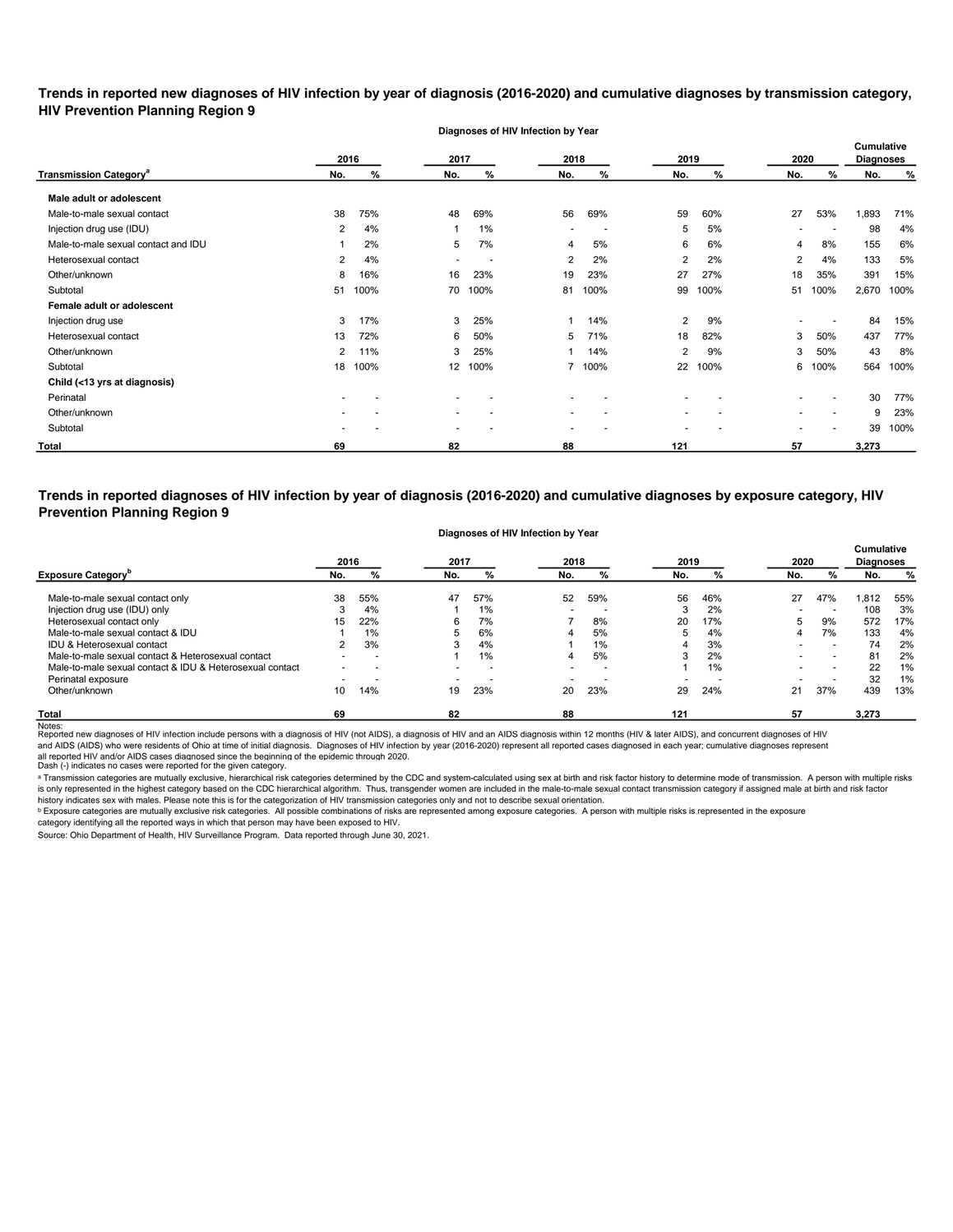**Trends in reported new diagnoses of HIV infection by year of diagnosis (2016-2020) and cumulative diagnoses by transmission category, HIV Prevention Planning Region 9**

**Diagnoses of HIV Infection by Year**

|                                          |     | 2016 | 2017 |      | 2018                     |                          | 2019 |      | 2020 |                          | <b>Cumulative</b><br><b>Diagnoses</b> |      |
|------------------------------------------|-----|------|------|------|--------------------------|--------------------------|------|------|------|--------------------------|---------------------------------------|------|
| <b>Transmission Category<sup>a</sup></b> | No. | %    | No.  | %    | No.                      | %                        | No.  | %    | No.  | %                        | No.                                   | %    |
| Male adult or adolescent                 |     |      |      |      |                          |                          |      |      |      |                          |                                       |      |
| Male-to-male sexual contact              | 38  | 75%  | 48   | 69%  | 56                       | 69%                      | 59   | 60%  | 27   | 53%                      | 1,893                                 | 71%  |
| Injection drug use (IDU)                 | 2   | 4%   |      | 1%   | $\overline{\phantom{a}}$ | $\overline{\phantom{a}}$ | 5    | 5%   | $\,$ | $\overline{\phantom{a}}$ | 98                                    | 4%   |
| Male-to-male sexual contact and IDU      |     | 2%   | 5    | 7%   | 4                        | 5%                       | 6    | 6%   | 4    | 8%                       | 155                                   | 6%   |
| Heterosexual contact                     | 2   | 4%   |      | . .  | 2                        | 2%                       | 2    | 2%   | 2    | 4%                       | 133                                   | 5%   |
| Other/unknown                            | 8   | 16%  | 16   | 23%  | 19                       | 23%                      | 27   | 27%  | 18   | 35%                      | 391                                   | 15%  |
| Subtotal                                 | 51  | 100% | 70   | 100% | 81                       | 100%                     | 99   | 100% | 51   | 100%                     | 2,670                                 | 100% |
| Female adult or adolescent               |     |      |      |      |                          |                          |      |      |      |                          |                                       |      |
| Injection drug use                       | 3   | 17%  | 3    | 25%  |                          | 14%                      | 2    | 9%   |      |                          | 84                                    | 15%  |
| Heterosexual contact                     | 13  | 72%  | 6    | 50%  | 5                        | 71%                      | 18   | 82%  | 3    | 50%                      | 437                                   | 77%  |
| Other/unknown                            | 2   | 11%  | 3    | 25%  |                          | 14%                      | 2    | 9%   | 3    | 50%                      | 43                                    | 8%   |
| Subtotal                                 | 18  | 100% | 12   | 100% | 7                        | 100%                     | 22   | 100% | 6    | 100%                     | 564                                   | 100% |
| Child (<13 yrs at diagnosis)             |     |      |      |      |                          |                          |      |      |      |                          |                                       |      |
| Perinatal                                |     |      |      |      | $\overline{\phantom{a}}$ |                          |      |      |      |                          | 30                                    | 77%  |
| Other/unknown                            |     |      |      |      | $\overline{\phantom{a}}$ |                          |      |      |      | $\overline{\phantom{a}}$ | 9                                     | 23%  |
| Subtotal                                 |     |      |      |      |                          |                          |      |      |      |                          | 39                                    | 100% |
| <b>Total</b>                             | 69  |      | 82   |      | 88                       |                          | 121  |      | 57   |                          | 3,273                                 |      |

**Trends in reported diagnoses of HIV infection by year of diagnosis (2016-2020) and cumulative diagnoses by exposure category, HIV Prevention Planning Region 9**

#### **Diagnoses of HIV Infection by Year**

|                                                          | 2016 |     | 2017 |                          | 2018                     |                          | 2019   |     | 2020 |     | <b>Cumulative</b><br><b>Diagnoses</b> |     |
|----------------------------------------------------------|------|-----|------|--------------------------|--------------------------|--------------------------|--------|-----|------|-----|---------------------------------------|-----|
| <b>Exposure Category</b> <sup>p</sup>                    | No.  | %   | No.  | %                        | No.                      | %                        | No.    | %   | No.  | %   | No.                                   | %   |
| Male-to-male sexual contact only                         | 38   | 55% | 47   | 57%                      | 52                       | 59%                      | 56     | 46% | 27   | 47% | 812.                                  | 55% |
| Injection drug use (IDU) only                            |      | 4%  |      | 1%                       | $\overline{\phantom{0}}$ |                          | ົ<br>3 | 2%  |      | -   | 108                                   | 3%  |
| Heterosexual contact only                                | 15   | 22% | 6    | 7%                       |                          | 8%                       | 20     | 17% | 5    | 9%  | 572                                   | 17% |
| Male-to-male sexual contact & IDU                        |      | 1%  |      | 6%                       |                          | 5%                       | 5      | 4%  | 4    | 7%  | 133                                   | 4%  |
| IDU & Heterosexual contact                               |      | 3%  | -3   | 4%                       |                          | $1\%$                    | 4      | 3%  |      | . . | 74                                    | 2%  |
| Male-to-male sexual contact & Heterosexual contact       |      |     |      | 1%                       | 4                        | 5%                       | 3      | 2%  |      |     | 81                                    | 2%  |
| Male-to-male sexual contact & IDU & Heterosexual contact |      |     |      | $\overline{\phantom{a}}$ | $\blacksquare$           | $\overline{\phantom{a}}$ |        | 1%  |      |     | 22                                    | 1%  |
| Perinatal exposure                                       |      |     |      | $\overline{\phantom{a}}$ | $\overline{\phantom{0}}$ | -                        |        |     |      |     | 32                                    | 1%  |
| Other/unknown                                            | 10   | 14% | 19   | 23%                      | 20                       | 23%                      | 29     | 24% | 21   | 37% | 439                                   | 13% |
| <b>Total</b>                                             | 69   |     | 82   |                          | 88                       |                          | 121    |     | 57   |     | 3,273                                 |     |

Notes:<br>Reported new diagnoses of HIV infection include persons with a diagnosis of HIV (not AIDS), a diagnosis of HIV and an AIDS diagnosis within 12 months (HIV & later AIDS), and concurrent diagnoses of HIV and AIDS (AIDS) who were residents of Ohio at time of initial diagnosis. Diagnoses of HIV infection by year (2016-2020) represent all reported cases diagnosed in each year; cumulative diagnoses represent

all reported HIV and/or AIDS cases diagnosed since the beginning of the epidemic through 2020.<br>Dash (-) indicates no cases were reported for the given category.

a Transmission categories are mutually exclusive, hierarchical risk categories determined by the CDC and system-calculated using sex at birth and risk factor history to determine mode of transmission. A person with multipl is only represented in the highest category based on the CDC hierarchical algorithm. Thus, transgender women are included in the male-to-male sexual contact transmission category if assigned male at birth and risk factor history indicates sex with males. Please note this is for the categorization of HIV transmission categories only and not to describe sexual orientation.

 $^{\rm b}$  Exposure categories are mutually exclusive risk categories. All possible combinations of risks are represented among exposure categories. A person with multiple risks is represented in the exposure

category identifying all the reported ways in which that person may have been exposed to HIV.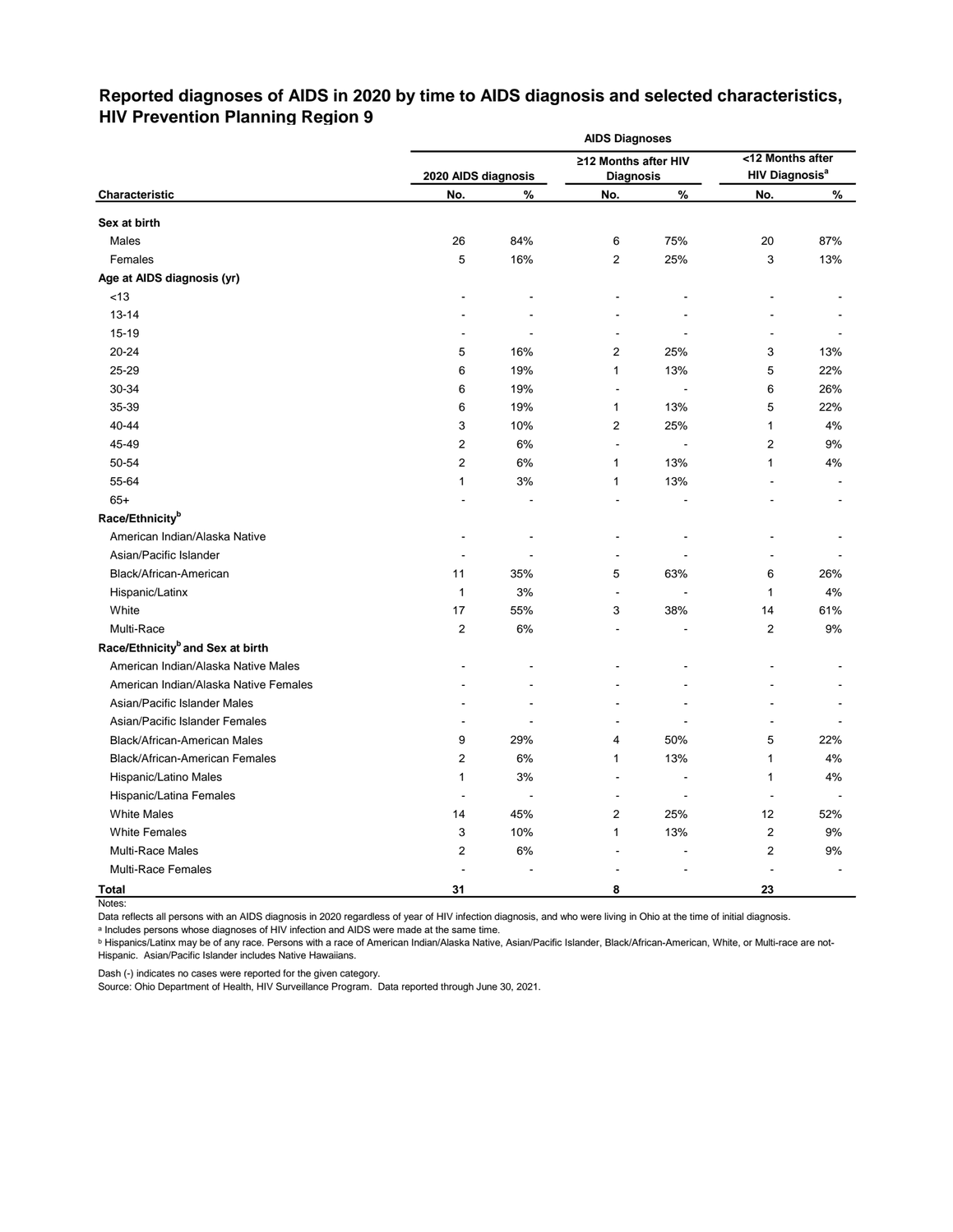# **Reported diagnoses of AIDS in 2020 by time to AIDS diagnosis and selected characteristics, HIV Prevention Planning Region 9**

|                                              |                     |       | <b>AIDS Diagnoses</b>        |      |                                  |       |
|----------------------------------------------|---------------------|-------|------------------------------|------|----------------------------------|-------|
|                                              |                     |       | ≥12 Months after HIV         |      | <12 Months after                 |       |
|                                              | 2020 AIDS diagnosis |       | <b>Diagnosis</b>             |      | <b>HIV Diagnosis<sup>a</sup></b> |       |
| Characteristic                               | No.                 | $\%$  | No.                          | $\%$ | No.                              | %     |
| Sex at birth                                 |                     |       |                              |      |                                  |       |
| Males                                        | 26                  | 84%   | 6                            | 75%  | 20                               | 87%   |
| Females                                      | 5                   | 16%   | 2                            | 25%  | 3                                | 13%   |
| Age at AIDS diagnosis (yr)                   |                     |       |                              |      |                                  |       |
| $<13$                                        |                     |       |                              |      |                                  |       |
| $13 - 14$                                    |                     |       |                              |      |                                  |       |
| $15 - 19$                                    |                     |       | $\qquad \qquad \blacksquare$ |      |                                  |       |
| 20-24                                        | 5                   | 16%   | $\overline{2}$               | 25%  | 3                                | 13%   |
| 25-29                                        | 6                   | 19%   | 1                            | 13%  | 5                                | 22%   |
| 30-34                                        | 6                   | 19%   | $\blacksquare$               |      | 6                                | 26%   |
| 35-39                                        | 6                   | 19%   | 1                            | 13%  | 5                                | 22%   |
| 40-44                                        | 3                   | 10%   | $\overline{2}$               | 25%  | 1                                | 4%    |
| 45-49                                        | 2                   | 6%    | $\blacksquare$               |      | $\overline{2}$                   | 9%    |
| 50-54                                        | $\overline{2}$      | 6%    | 1                            | 13%  | 1                                | 4%    |
| 55-64                                        | 1                   | 3%    | 1                            | 13%  |                                  |       |
| $65+$                                        |                     |       |                              |      |                                  |       |
| Race/Ethnicity <sup>b</sup>                  |                     |       |                              |      |                                  |       |
| American Indian/Alaska Native                |                     |       |                              |      |                                  |       |
| Asian/Pacific Islander                       |                     |       |                              |      |                                  |       |
| Black/African-American                       | 11                  | 35%   | 5                            | 63%  | 6                                | 26%   |
| Hispanic/Latinx                              | $\mathbf{1}$        | 3%    | $\blacksquare$               |      | 1                                | 4%    |
| White                                        | 17                  | 55%   | 3                            | 38%  | 14                               | 61%   |
| Multi-Race                                   | $\overline{2}$      | 6%    |                              |      | $\overline{c}$                   | $9%$  |
| Race/Ethnicity <sup>b</sup> and Sex at birth |                     |       |                              |      |                                  |       |
| American Indian/Alaska Native Males          |                     |       |                              |      |                                  |       |
| American Indian/Alaska Native Females        |                     |       |                              |      |                                  |       |
| Asian/Pacific Islander Males                 |                     |       |                              |      |                                  |       |
| Asian/Pacific Islander Females               |                     |       |                              |      |                                  |       |
| Black/African-American Males                 | 9                   | 29%   | 4                            | 50%  | 5                                | 22%   |
| <b>Black/African-American Females</b>        | $\overline{2}$      | 6%    | 1                            | 13%  | 1                                | 4%    |
| Hispanic/Latino Males                        | $\mathbf{1}$        | 3%    |                              |      | $\mathbf{1}$                     | 4%    |
| Hispanic/Latina Females                      | $\blacksquare$      |       |                              |      | $\overline{\phantom{a}}$         |       |
| <b>White Males</b>                           | 14                  | 45%   | $\overline{\mathbf{c}}$      | 25%  | 12                               | 52%   |
| <b>White Females</b>                         | 3                   | 10%   | 1                            | 13%  | 2                                | $9\%$ |
| Multi-Race Males                             | 2                   | $6\%$ |                              |      | 2                                | $9\%$ |
| Multi-Race Females                           | $\blacksquare$      |       |                              |      |                                  |       |
| <b>Total</b>                                 | 31                  |       | 8                            |      | 23                               |       |

Notes:

Data reflects all persons with an AIDS diagnosis in 2020 regardless of year of HIV infection diagnosis, and who were living in Ohio at the time of initial diagnosis.

ᵃ Includes persons whose diagnoses of HIV infection and AIDS were made at the same time.

<u>b Hispanics/Latinx may be of any race. Persons with a race of American Indian/Alaska Native, Asian/Pacific Islander, Black/African-American, White, or Multi-race are not-</u> Hispanic. Asian/Pacific Islander includes Native Hawaiians.

Dash (-) indicates no cases were reported for the given category.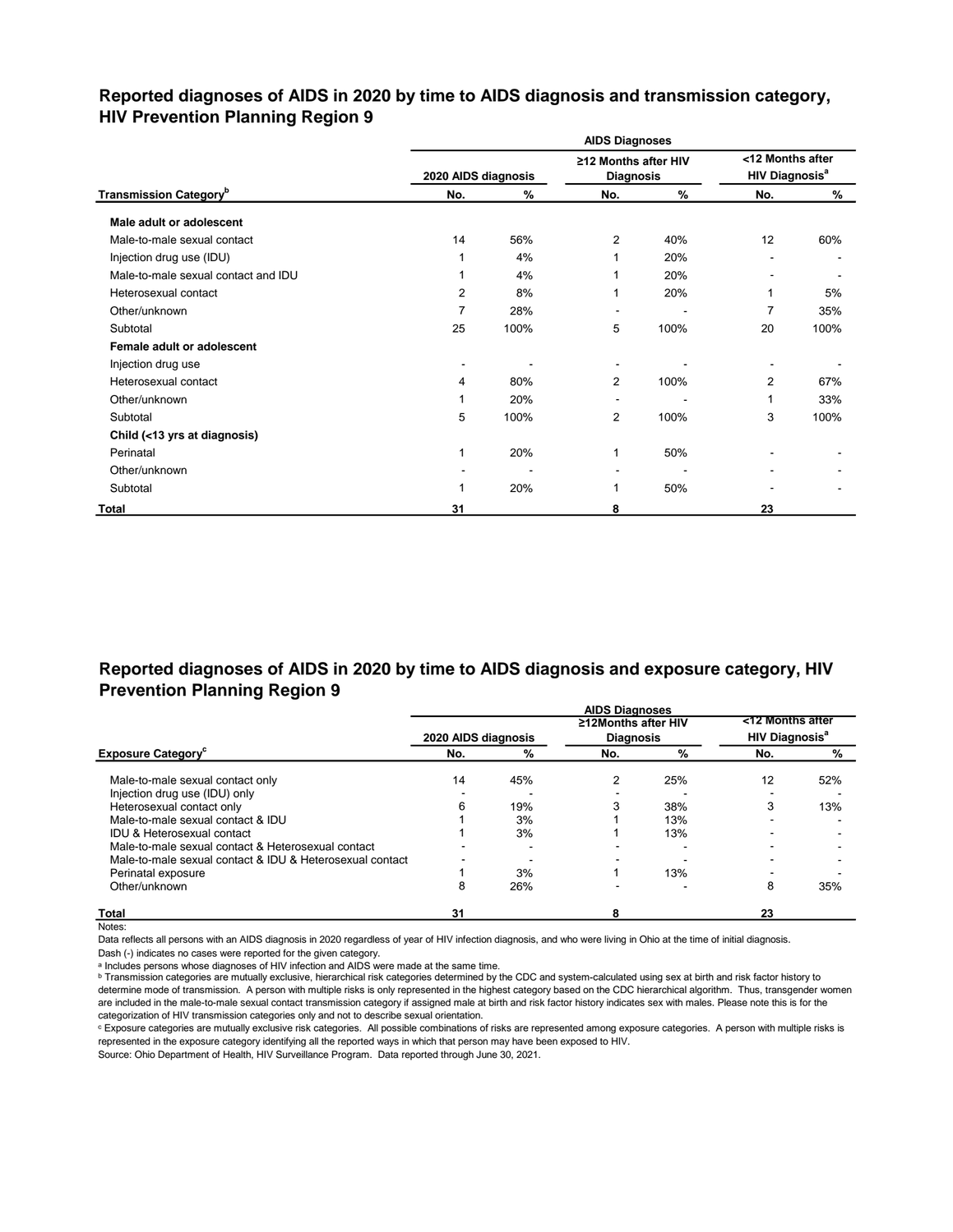## **Reported diagnoses of AIDS in 2020 by time to AIDS diagnosis and transmission category, HIV Prevention Planning Region 9**

|                                           |                     |      | <b>AIDS Diagnoses</b>                    |      |                                                      |      |
|-------------------------------------------|---------------------|------|------------------------------------------|------|------------------------------------------------------|------|
|                                           | 2020 AIDS diagnosis |      | ≥12 Months after HIV<br><b>Diagnosis</b> |      | <12 Months after<br><b>HIV Diagnosis<sup>a</sup></b> |      |
| <b>Transmission Category</b> <sup>b</sup> | No.                 | %    | No.                                      | $\%$ | No.                                                  | %    |
| Male adult or adolescent                  |                     |      |                                          |      |                                                      |      |
| Male-to-male sexual contact               | 14                  | 56%  | 2                                        | 40%  | 12                                                   | 60%  |
| Injection drug use (IDU)                  |                     | 4%   | 1                                        | 20%  | $\overline{\phantom{a}}$                             |      |
| Male-to-male sexual contact and IDU       |                     | 4%   |                                          | 20%  |                                                      |      |
| Heterosexual contact                      | 2                   | 8%   | 1                                        | 20%  | 1                                                    | 5%   |
| Other/unknown                             | 7                   | 28%  | -                                        |      | $\overline{7}$                                       | 35%  |
| Subtotal                                  | 25                  | 100% | 5                                        | 100% | 20                                                   | 100% |
| Female adult or adolescent                |                     |      |                                          |      |                                                      |      |
| Injection drug use                        |                     |      |                                          |      |                                                      |      |
| Heterosexual contact                      | 4                   | 80%  | $\overline{2}$                           | 100% | 2                                                    | 67%  |
| Other/unknown                             |                     | 20%  | $\blacksquare$                           |      | 1                                                    | 33%  |
| Subtotal                                  | 5                   | 100% | 2                                        | 100% | 3                                                    | 100% |
| Child (<13 yrs at diagnosis)              |                     |      |                                          |      |                                                      |      |
| Perinatal                                 | 1                   | 20%  | 1                                        | 50%  |                                                      |      |
| Other/unknown                             |                     |      |                                          |      |                                                      |      |
| Subtotal                                  |                     | 20%  | 1                                        | 50%  |                                                      |      |
| <b>Total</b>                              | 31                  |      | 8                                        |      | 23                                                   |      |

## **Reported diagnoses of AIDS in 2020 by time to AIDS diagnosis and exposure category, HIV Prevention Planning Region 9**

|                                                          |                     |     | <b>AIDS Diagnoses</b> |     |                                  |     |
|----------------------------------------------------------|---------------------|-----|-----------------------|-----|----------------------------------|-----|
|                                                          |                     |     | ≥12Months after HIV   |     | <12 Months after                 |     |
|                                                          | 2020 AIDS diagnosis |     | <b>Diagnosis</b>      |     | <b>HIV Diagnosis<sup>a</sup></b> |     |
| <b>Exposure Category</b>                                 | No.                 | %   | No.                   | %   | No.                              | %   |
| Male-to-male sexual contact only                         | 14                  | 45% |                       | 25% | 12                               | 52% |
| Injection drug use (IDU) only                            |                     |     |                       |     |                                  |     |
| Heterosexual contact only                                |                     | 19% |                       | 38% | 3                                | 13% |
| Male-to-male sexual contact & IDU                        |                     | 3%  |                       | 13% |                                  |     |
| <b>IDU &amp; Heterosexual contact</b>                    |                     | 3%  |                       | 13% |                                  |     |
| Male-to-male sexual contact & Heterosexual contact       |                     |     |                       |     |                                  |     |
| Male-to-male sexual contact & IDU & Heterosexual contact |                     |     |                       |     |                                  |     |
| Perinatal exposure                                       |                     | 3%  |                       | 13% |                                  |     |
| Other/unknown                                            | 8                   | 26% |                       |     | 8                                | 35% |
| <b>Total</b>                                             | 31                  |     |                       |     | 23                               |     |

Notes:

Data reflects all persons with an AIDS diagnosis in 2020 regardless of year of HIV infection diagnosis, and who were living in Ohio at the time of initial diagnosis.

Dash (-) indicates no cases were reported for the given category.

a Includes persons whose diagnoses of HIV infection and AIDS were made at the same time.

**b** Transmission categories are mutually exclusive, hierarchical risk categories determined by the CDC and system-calculated using sex at birth and risk factor history to determine mode of transmission. A person with multiple risks is only represented in the highest category based on the CDC hierarchical algorithm. Thus, transgender women are included in the male-to-male sexual contact transmission category if assigned male at birth and risk factor history indicates sex with males. Please note this is for the categorization of HIV transmission categories only and not to describe sexual orientation.

ᶜ Exposure categories are mutually exclusive risk categories. All possible combinations of risks are represented among exposure categories. A person with multiple risks is represented in the exposure category identifying all the reported ways in which that person may have been exposed to HIV.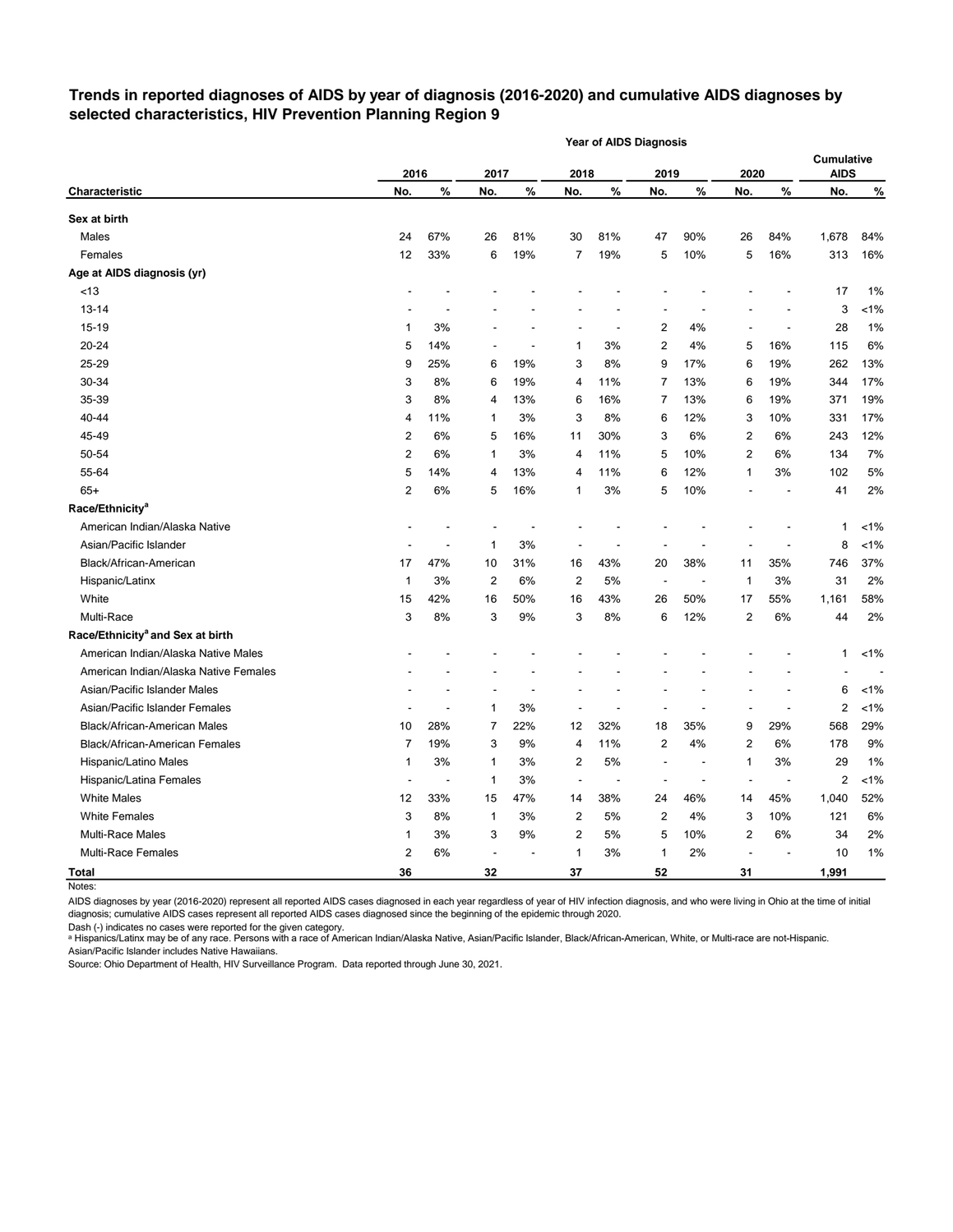## **Trends in reported diagnoses of AIDS by year of diagnosis (2016-2020) and cumulative AIDS diagnoses by selected characteristics, HIV Prevention Planning Region 9**

|                                              |                |       |      |      |                | <b>Year of AIDS Diagnosis</b> |                          |      |                |       |                                  |         |
|----------------------------------------------|----------------|-------|------|------|----------------|-------------------------------|--------------------------|------|----------------|-------|----------------------------------|---------|
|                                              | 2016           |       | 2017 |      | 2018           |                               | 2019                     |      | 2020           |       | <b>Cumulative</b><br><b>AIDS</b> |         |
| <b>Characteristic</b>                        | No.            | $\%$  | No.  | $\%$ | No.            | $\%$                          | No.                      | $\%$ | No.            | $\%$  | No.                              | $\%$    |
| Sex at birth                                 |                |       |      |      |                |                               |                          |      |                |       |                                  |         |
| Males                                        | 24             | 67%   | 26   | 81%  | 30             | 81%                           | 47                       | 90%  | 26             | 84%   | 1,678                            | 84%     |
| Females                                      | 12             | 33%   | 6    | 19%  | 7              | 19%                           | 5                        | 10%  | 5              | 16%   | 313                              | 16%     |
| Age at AIDS diagnosis (yr)                   |                |       |      |      |                |                               |                          |      |                |       |                                  |         |
| < 13                                         |                |       |      |      |                |                               |                          |      |                |       | 17                               | 1%      |
| 13-14                                        |                |       |      |      |                |                               |                          |      |                |       | 3                                | $< 1\%$ |
| 15-19                                        | 1              | 3%    |      |      |                | ÷,                            | 2                        | 4%   |                |       | 28                               | 1%      |
| 20-24                                        | 5              | 14%   |      |      | 1              | 3%                            | 2                        | 4%   | 5              | 16%   | 115                              | 6%      |
| 25-29                                        | 9              | 25%   | 6    | 19%  | 3              | 8%                            | 9                        | 17%  | 6              | 19%   | 262                              | 13%     |
| 30-34                                        | 3              | 8%    | 6    | 19%  | 4              | 11%                           | 7                        | 13%  | 6              | 19%   | 344                              | 17%     |
| 35-39                                        | 3              | 8%    | 4    | 13%  | 6              | 16%                           | 7                        | 13%  | 6              | 19%   | 371                              | 19%     |
| 40-44                                        | 4              | 11%   | 1    | 3%   | 3              | 8%                            | 6                        | 12%  | 3              | 10%   | 331                              | 17%     |
| 45-49                                        | 2              | 6%    | 5    | 16%  | 11             | 30%                           | 3                        | 6%   | 2              | 6%    | 243                              | 12%     |
| 50-54                                        | 2              | 6%    | 1    | 3%   | 4              | 11%                           | 5                        | 10%  | 2              | 6%    | 134                              | 7%      |
| 55-64                                        | 5              | 14%   | 4    | 13%  | 4              | 11%                           | 6                        | 12%  | 1              | 3%    | 102                              | 5%      |
| $65+$                                        | 2              | 6%    | 5    | 16%  | 1              | 3%                            | 5                        | 10%  |                |       | 41                               | 2%      |
| Race/Ethnicity <sup>a</sup>                  |                |       |      |      |                |                               |                          |      |                |       |                                  |         |
| American Indian/Alaska Native                |                |       |      |      |                |                               |                          |      |                |       | 1                                | $< 1\%$ |
| Asian/Pacific Islander                       |                |       | 1    | 3%   |                |                               |                          |      |                |       | 8                                | $< 1\%$ |
| Black/African-American                       | 17             | 47%   | 10   | 31%  | 16             | 43%                           | 20                       | 38%  | 11             | 35%   | 746                              | 37%     |
| Hispanic/Latinx                              | 1              | 3%    | 2    | 6%   | 2              | 5%                            | $\overline{\phantom{a}}$ |      | 1              | 3%    | 31                               | 2%      |
| White                                        | 15             | 42%   | 16   | 50%  | 16             | 43%                           | 26                       | 50%  | 17             | 55%   | 1,161                            | 58%     |
| Multi-Race                                   | 3              | 8%    | 3    | 9%   | 3              | 8%                            | 6                        | 12%  | 2              | 6%    | 44                               | 2%      |
| Race/Ethnicity <sup>a</sup> and Sex at birth |                |       |      |      |                |                               |                          |      |                |       |                                  |         |
| American Indian/Alaska Native Males          |                |       |      |      |                |                               |                          |      |                |       | 1                                | $< 1\%$ |
| American Indian/Alaska Native Females        |                |       |      |      |                |                               |                          |      |                |       |                                  |         |
| Asian/Pacific Islander Males                 |                |       |      |      |                |                               |                          |      |                |       | 6                                | $< 1\%$ |
| Asian/Pacific Islander Females               |                |       | 1    | 3%   |                |                               |                          |      |                |       | 2                                | $< 1\%$ |
| <b>Black/African-American Males</b>          | 10             | 28%   | 7    | 22%  | 12             | 32%                           | 18                       | 35%  | 9              | 29%   | 568                              | 29%     |
| Black/African-American Females               | 7              | 19%   | 3    | 9%   | 4              | 11%                           | 2                        | 4%   | 2              | 6%    | 178                              | 9%      |
| Hispanic/Latino Males                        | 1              | 3%    | 1    | 3%   | 2              | 5%                            |                          |      | 1              | 3%    | 29                               | $1\%$   |
| Hispanic/Latina Females                      | $\overline{a}$ |       | 1    | 3%   | $\blacksquare$ |                               |                          |      | $\blacksquare$ |       | $\overline{\mathbf{c}}$          | $< 1\%$ |
| <b>White Males</b>                           | 12             | 33%   | 15   | 47%  | 14             | 38%                           | 24                       | 46%  | 14             | 45%   | 1,040                            | 52%     |
| <b>White Females</b>                         | 3              | 8%    | 1    | 3%   | 2              | 5%                            | 2                        | 4%   | 3              | 10%   | 121                              | 6%      |
| Multi-Race Males                             | 1              | 3%    | 3    | 9%   | $\overline{c}$ | 5%                            | 5                        | 10%  | 2              | $6\%$ | 34                               | 2%      |
| Multi-Race Females                           | 2              | $6\%$ |      |      | 1              | $3%$                          | 1                        | 2%   |                |       | 10                               | 1%      |
| <b>Total</b>                                 | 36             |       | 32   |      | 37             |                               | 52                       |      | 31             |       | 1,991                            |         |

Notes:

AIDS diagnoses by year (2016-2020) represent all reported AIDS cases diagnosed in each year regardless of year of HIV infection diagnosis, and who were living in Ohio at the time of initial diagnosis; cumulative AIDS cases represent all reported AIDS cases diagnosed since the beginning of the epidemic through 2020.

Dash (-) indicates no cases were reported for the given category.

a Hispanics/Latinx may be of any race. Persons with a race of American Indian/Alaska Native, Asian/Pacific Islander, Black/African-American, White, or Multi-race are not-Hispanic. Asian/Pacific Islander includes Native Hawaiians.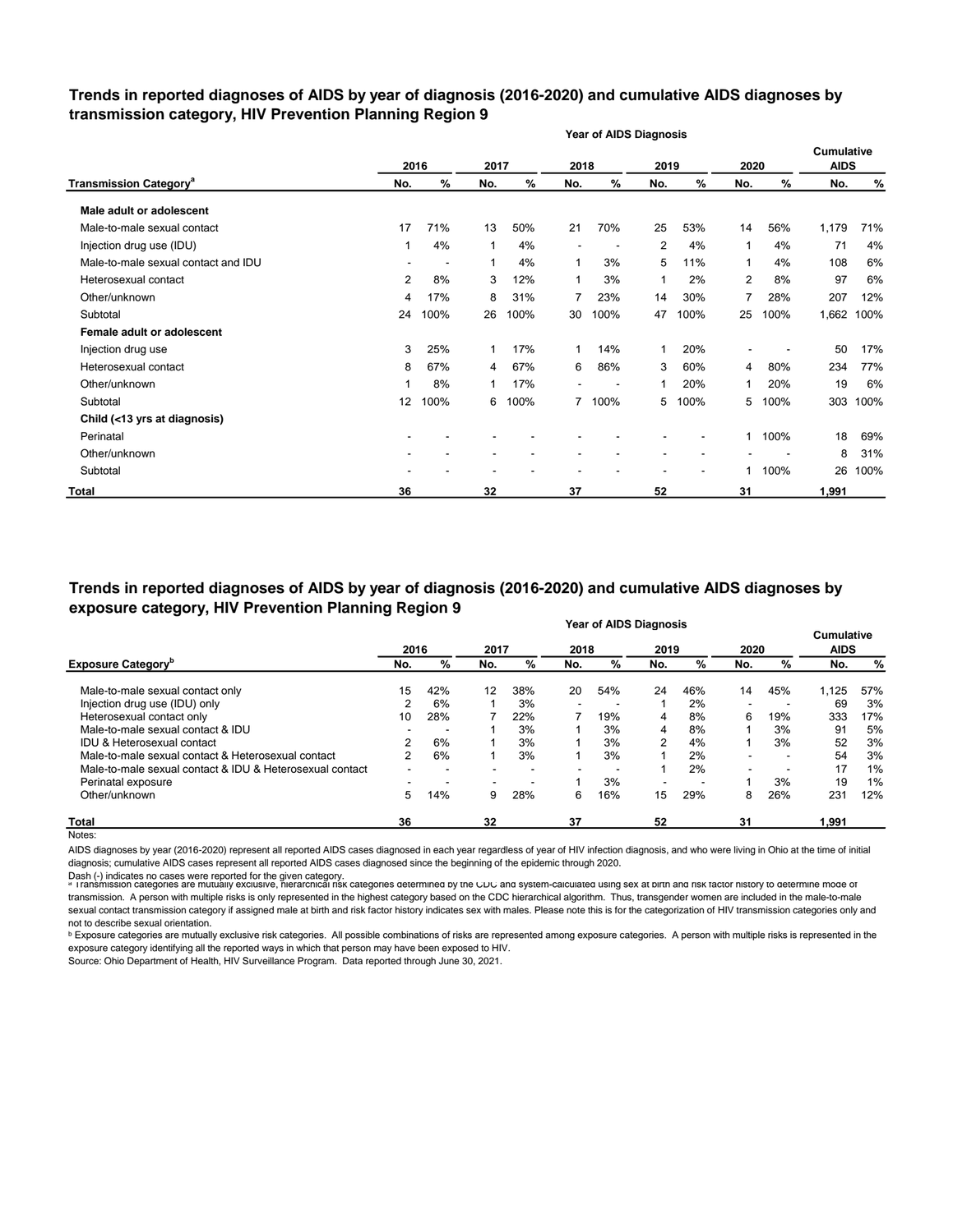## **Trends in reported diagnoses of AIDS by year of diagnosis (2016-2020) and cumulative AIDS diagnoses by transmission category, HIV Prevention Planning Region 9**

|                                          |                |                          |      |      |                | <b>Year of AIDS Diagnosis</b> |                |      |      |      |                           |      |
|------------------------------------------|----------------|--------------------------|------|------|----------------|-------------------------------|----------------|------|------|------|---------------------------|------|
|                                          | 2016           |                          | 2017 |      | 2018           |                               | 2019           |      | 2020 |      | Cumulative<br><b>AIDS</b> |      |
| <b>Transmission Category<sup>a</sup></b> | No.            | %                        | No.  | %    | No.            | %                             | No.            | %    | No.  | %    | No.                       | %    |
| Male adult or adolescent                 |                |                          |      |      |                |                               |                |      |      |      |                           |      |
| Male-to-male sexual contact              | 17             | 71%                      | 13   | 50%  | 21             | 70%                           | 25             | 53%  | 14   | 56%  | 1,179                     | 71%  |
| Injection drug use (IDU)                 | 1              | 4%                       | 1    | 4%   |                |                               | $\overline{2}$ | 4%   | 1    | 4%   | 71                        | 4%   |
| Male-to-male sexual contact and IDU      |                | $\overline{\phantom{a}}$ | 1    | 4%   | 1              | 3%                            | 5              | 11%  | 1    | 4%   | 108                       | 6%   |
| Heterosexual contact                     | $\overline{2}$ | 8%                       | 3    | 12%  | 1              | 3%                            | 1              | 2%   | 2    | 8%   | 97                        | 6%   |
| Other/unknown                            | 4              | 17%                      | 8    | 31%  | $\overline{7}$ | 23%                           | 14             | 30%  | 7    | 28%  | 207                       | 12%  |
| Subtotal                                 | 24             | 100%                     | 26   | 100% | 30             | 100%                          | 47             | 100% | 25   | 100% | 1,662                     | 100% |
| Female adult or adolescent               |                |                          |      |      |                |                               |                |      |      |      |                           |      |
| Injection drug use                       | 3              | 25%                      | 1    | 17%  | 1              | 14%                           | $\mathbf{1}$   | 20%  |      |      | 50                        | 17%  |
| Heterosexual contact                     | 8              | 67%                      | 4    | 67%  | 6              | 86%                           | 3              | 60%  | 4    | 80%  | 234                       | 77%  |
| Other/unknown                            | 1              | 8%                       |      | 17%  |                |                               |                | 20%  | 1    | 20%  | 19                        | 6%   |
| Subtotal                                 | 12             | 100%                     | 6    | 100% |                | 7 100%                        | 5              | 100% | 5    | 100% | 303                       | 100% |
| Child (<13 yrs at diagnosis)             |                |                          |      |      |                |                               |                |      |      |      |                           |      |
| Perinatal                                |                |                          |      |      |                |                               |                |      | 1    | 100% | 18                        | 69%  |
| Other/unknown                            |                |                          |      |      |                |                               |                |      |      |      | 8                         | 31%  |
| Subtotal                                 |                |                          |      |      |                |                               |                |      | 1    | 100% | 26                        | 100% |
| <b>Total</b>                             | 36             |                          | 32   |      | 37             |                               | 52             |      | 31   |      | 1,991                     |      |

#### **Year of AIDS Diagnosis Trends in reported diagnoses of AIDS by year of diagnosis (2016-2020) and cumulative AIDS diagnoses by exposure category, HIV Prevention Planning Region 9**

|                                                          |      |     |      |                          |        | <b>דיסוואוט טעורו</b> וט |                          |     |                          |     | <b>Cumulative</b> |     |
|----------------------------------------------------------|------|-----|------|--------------------------|--------|--------------------------|--------------------------|-----|--------------------------|-----|-------------------|-----|
|                                                          | 2016 |     | 2017 |                          | 2018   |                          | 2019                     |     | 2020                     |     | <b>AIDS</b>       |     |
| <b>Exposure Category</b> <sup>b</sup>                    | No.  | %   | No.  | %                        | No.    | %                        | No.                      | %   | No.                      | %   | No.               | %   |
| Male-to-male sexual contact only                         | 15   | 42% | 12   | 38%                      | 20     | 54%                      | 24                       | 46% | 14                       | 45% | 1,125             | 57% |
| Injection drug use (IDU) only                            | 2    | 6%  |      | 3%                       | $\sim$ |                          |                          | 2%  | $\overline{\phantom{0}}$ |     | 69                | 3%  |
| Heterosexual contact only                                | 10   | 28% |      | 22%                      |        | 19%                      | 4                        | 8%  | 6                        | 19% | 333               | 17% |
| Male-to-male sexual contact & IDU                        |      |     |      | 3%                       |        | 3%                       | 4                        | 8%  |                          | 3%  | 91                | 5%  |
| <b>IDU &amp; Heterosexual contact</b>                    | ⌒    | 6%  |      | 3%                       |        | 3%                       | 2                        | 4%  |                          | 3%  | 52                | 3%  |
| Male-to-male sexual contact & Heterosexual contact       | 2    | 6%  |      | 3%                       |        | 3%                       |                          | 2%  | $\overline{\phantom{0}}$ |     | 54                | 3%  |
| Male-to-male sexual contact & IDU & Heterosexual contact |      |     |      | $\overline{\phantom{a}}$ |        | $\blacksquare$           |                          | 2%  | $\overline{\phantom{a}}$ |     | 17                | 1%  |
| Perinatal exposure                                       |      |     |      |                          |        | 3%                       | $\overline{\phantom{a}}$ |     |                          | 3%  | 19                | 1%  |
| Other/unknown                                            | 5    | 14% | 9    | 28%                      | 6      | 16%                      | 15                       | 29% | 8                        | 26% | 231               | 12% |
| <b>Total</b>                                             | 36   |     | 32   |                          | 37     |                          | 52                       |     | 31                       |     | 1,991             |     |
| Notes:                                                   |      |     |      |                          |        |                          |                          |     |                          |     |                   |     |

AIDS diagnoses by year (2016-2020) represent all reported AIDS cases diagnosed in each year regardless of year of HIV infection diagnosis, and who were living in Ohio at the time of initial diagnosis; cumulative AIDS cases represent all reported AIDS cases diagnosed since the beginning of the epidemic through 2020.

Dash (-) indicates no cases were reported for the given category.<br>◎ Transmission categories are mutually exclusive, nierarcnical risk categories determined by the CDC and system-calculated using sex at birth and risk ract transmission. A person with multiple risks is only represented in the highest category based on the CDC hierarchical algorithm. Thus, transgender women are included in the male-to-male sexual contact transmission category if assigned male at birth and risk factor history indicates sex with males. Please note this is for the categorization of HIV transmission categories only and not to describe sexual orientation.

**b** Exposure categories are mutually exclusive risk categories. All possible combinations of risks are represented among exposure categories. A person with multiple risks is represented in the exposure category identifying all the reported ways in which that person may have been exposed to HIV.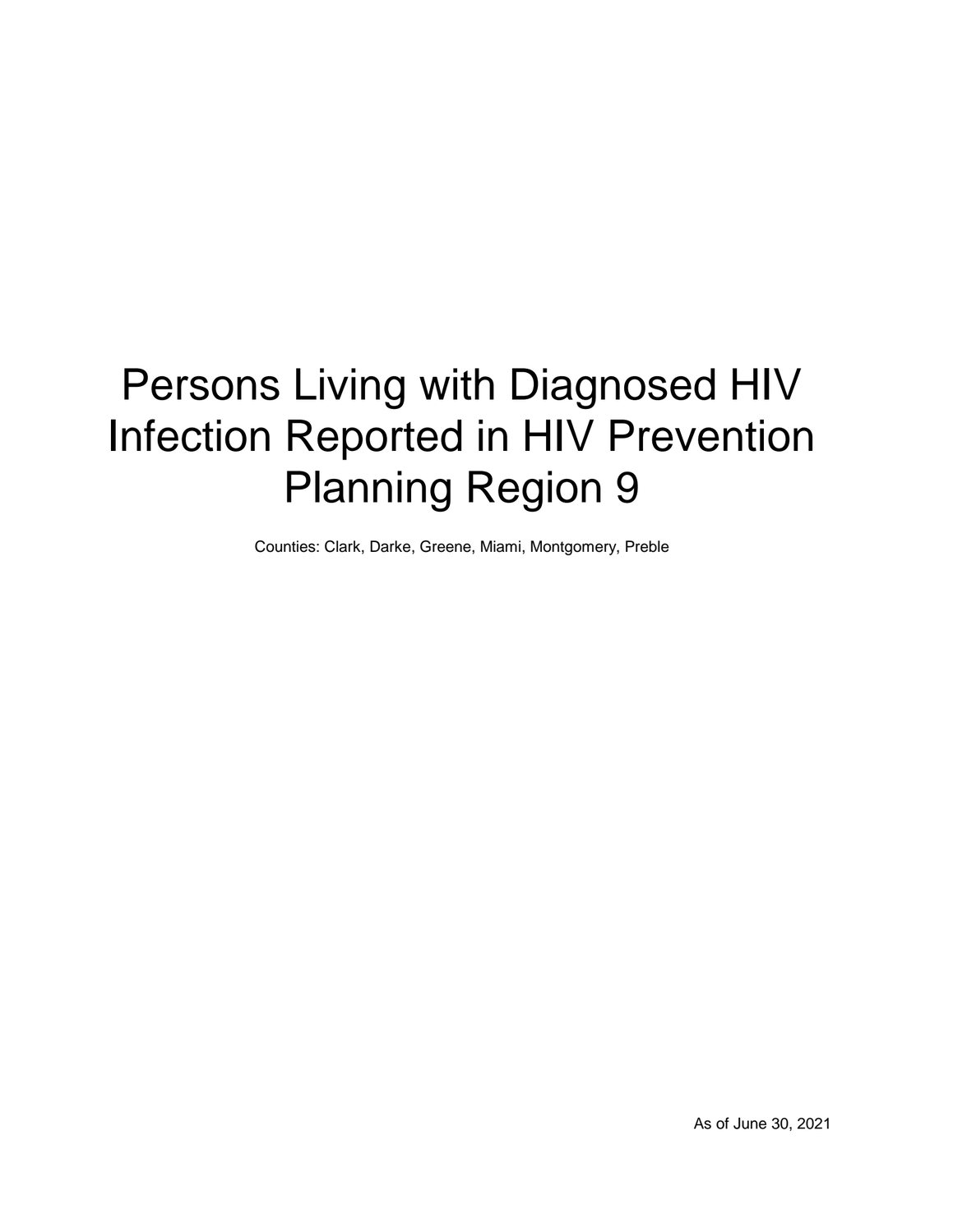# Persons Living with Diagnosed HIV Infection Reported in HIV Prevention Planning Region 9

Counties: Clark, Darke, Greene, Miami, Montgomery, Preble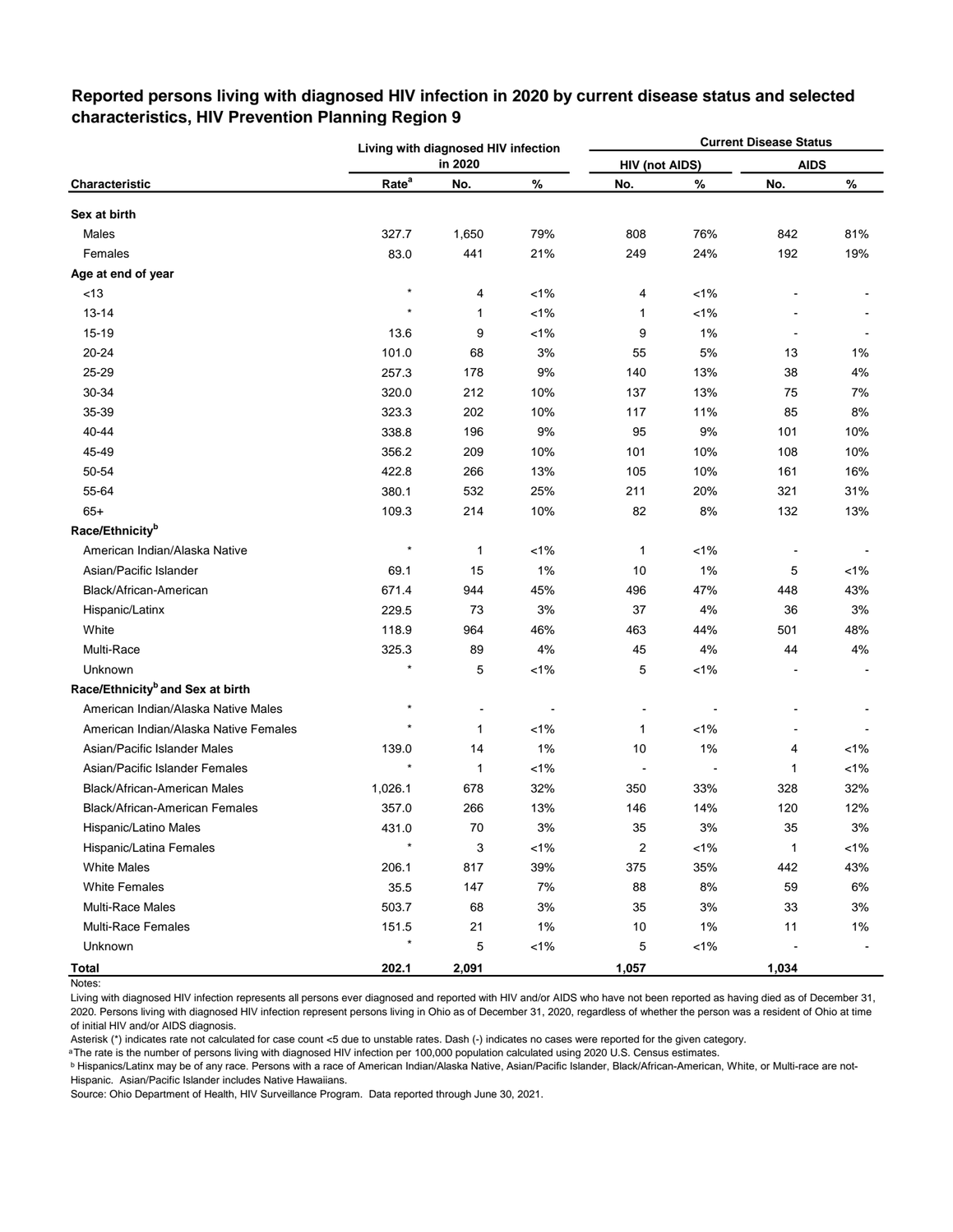|                                              |                   | Living with diagnosed HIV infection |         |                       |         | <b>Current Disease Status</b> |         |
|----------------------------------------------|-------------------|-------------------------------------|---------|-----------------------|---------|-------------------------------|---------|
|                                              |                   | in 2020                             |         | <b>HIV (not AIDS)</b> |         | <b>AIDS</b>                   |         |
| Characteristic                               | Rate <sup>a</sup> | No.                                 | $\%$    | No.                   | $\%$    | No.                           | %       |
| Sex at birth                                 |                   |                                     |         |                       |         |                               |         |
| Males                                        | 327.7             | 1,650                               | 79%     | 808                   | 76%     | 842                           | 81%     |
| Females                                      | 83.0              | 441                                 | 21%     | 249                   | 24%     | 192                           | 19%     |
| Age at end of year                           |                   |                                     |         |                       |         |                               |         |
| <13                                          | $\star$           | 4                                   | $< 1\%$ | 4                     | $< 1\%$ |                               |         |
| 13-14                                        | $^{\star}$        | 1                                   | $< 1\%$ | 1                     | $< 1\%$ |                               |         |
| $15 - 19$                                    | 13.6              | 9                                   | $< 1\%$ | 9                     | 1%      |                               |         |
| 20-24                                        | 101.0             | 68                                  | 3%      | 55                    | $5%$    | 13                            | 1%      |
| 25-29                                        | 257.3             | 178                                 | 9%      | 140                   | 13%     | 38                            | 4%      |
| 30-34                                        | 320.0             | 212                                 | 10%     | 137                   | 13%     | 75                            | 7%      |
| 35-39                                        | 323.3             | 202                                 | 10%     | 117                   | 11%     | 85                            | 8%      |
| 40-44                                        | 338.8             | 196                                 | 9%      | 95                    | 9%      | 101                           | 10%     |
| 45-49                                        | 356.2             | 209                                 | 10%     | 101                   | 10%     | 108                           | 10%     |
| 50-54                                        | 422.8             | 266                                 | 13%     | 105                   | 10%     | 161                           | 16%     |
| 55-64                                        | 380.1             | 532                                 | 25%     | 211                   | 20%     | 321                           | 31%     |
| $65+$                                        | 109.3             | 214                                 | 10%     | 82                    | 8%      | 132                           | 13%     |
| Race/Ethnicity <sup>b</sup>                  |                   |                                     |         |                       |         |                               |         |
| American Indian/Alaska Native                | $\star$           | 1                                   | $< 1\%$ | 1                     | $< 1\%$ |                               |         |
| Asian/Pacific Islander                       | 69.1              | 15                                  | 1%      | 10                    | 1%      | 5                             | $< 1\%$ |
| Black/African-American                       | 671.4             | 944                                 | 45%     | 496                   | 47%     | 448                           | 43%     |
| Hispanic/Latinx                              | 229.5             | 73                                  | 3%      | 37                    | 4%      | 36                            | 3%      |
| White                                        | 118.9             | 964                                 | 46%     | 463                   | 44%     | 501                           | 48%     |
| Multi-Race                                   | 325.3             | 89                                  | 4%      | 45                    | 4%      | 44                            | 4%      |
| Unknown                                      |                   | 5                                   | $< 1\%$ | 5                     | $< 1\%$ |                               |         |
| Race/Ethnicity <sup>b</sup> and Sex at birth |                   |                                     |         |                       |         |                               |         |
| American Indian/Alaska Native Males          | $\star$           |                                     |         |                       |         |                               |         |
| American Indian/Alaska Native Females        | $\star$           | 1                                   | $< 1\%$ | 1                     | $< 1\%$ |                               |         |
| Asian/Pacific Islander Males                 | 139.0             | 14                                  | 1%      | 10                    | 1%      | 4                             | $< 1\%$ |
| Asian/Pacific Islander Females               |                   | 1                                   | $< 1\%$ |                       |         | 1                             | $< 1\%$ |
| Black/African-American Males                 | 1,026.1           | 678                                 | 32%     | 350                   | 33%     | 328                           | 32%     |
| Black/African-American Females               | 357.0             | 266                                 | 13%     | 146                   | 14%     | 120                           | 12%     |
| Hispanic/Latino Males                        | 431.0             | 70                                  | 3%      | 35                    | 3%      | 35                            | $3%$    |
| Hispanic/Latina Females                      | $\star$           | 3                                   | $< 1\%$ | $\mathbf 2$           | $< 1\%$ | $\mathbf{1}$                  | 1%      |
| <b>White Males</b>                           | 206.1             | 817                                 | 39%     | 375                   | 35%     | 442                           | 43%     |
| White Females                                | 35.5              | 147                                 | 7%      | 88                    | 8%      | 59                            | 6%      |
| Multi-Race Males                             | 503.7             | 68                                  | $3%$    | 35                    | 3%      | 33                            | 3%      |
| <b>Multi-Race Females</b>                    | 151.5             | 21                                  | $1\%$   | 10                    | 1%      | 11                            | $1\%$   |
| Unknown                                      | $\star$           | 5                                   | 1%      | 5                     | $< 1\%$ |                               |         |
| <b>Total</b>                                 | 202.1             | 2,091                               |         | 1,057                 |         | 1,034                         |         |

## **Reported persons living with diagnosed HIV infection in 2020 by current disease status and selected characteristics, HIV Prevention Planning Region 9**

Living with diagnosed HIV infection represents all persons ever diagnosed and reported with HIV and/or AIDS who have not been reported as having died as of December 31, 2020. Persons living with diagnosed HIV infection represent persons living in Ohio as of December 31, 2020, regardless of whether the person was a resident of Ohio at time of initial HIV and/or AIDS diagnosis.

Asterisk (\*) indicates rate not calculated for case count <5 due to unstable rates. Dash (-) indicates no cases were reported for the given category.

a The rate is the number of persons living with diagnosed HIV infection per 100,000 population calculated using 2020 U.S. Census estimates.

ᵇ Hispanics/Latinx may be of any race. Persons with a race of American Indian/Alaska Native, Asian/Pacific Islander, Black/African-American, White, or Multi-race are not-Hispanic. Asian/Pacific Islander includes Native Hawaiians.

Notes: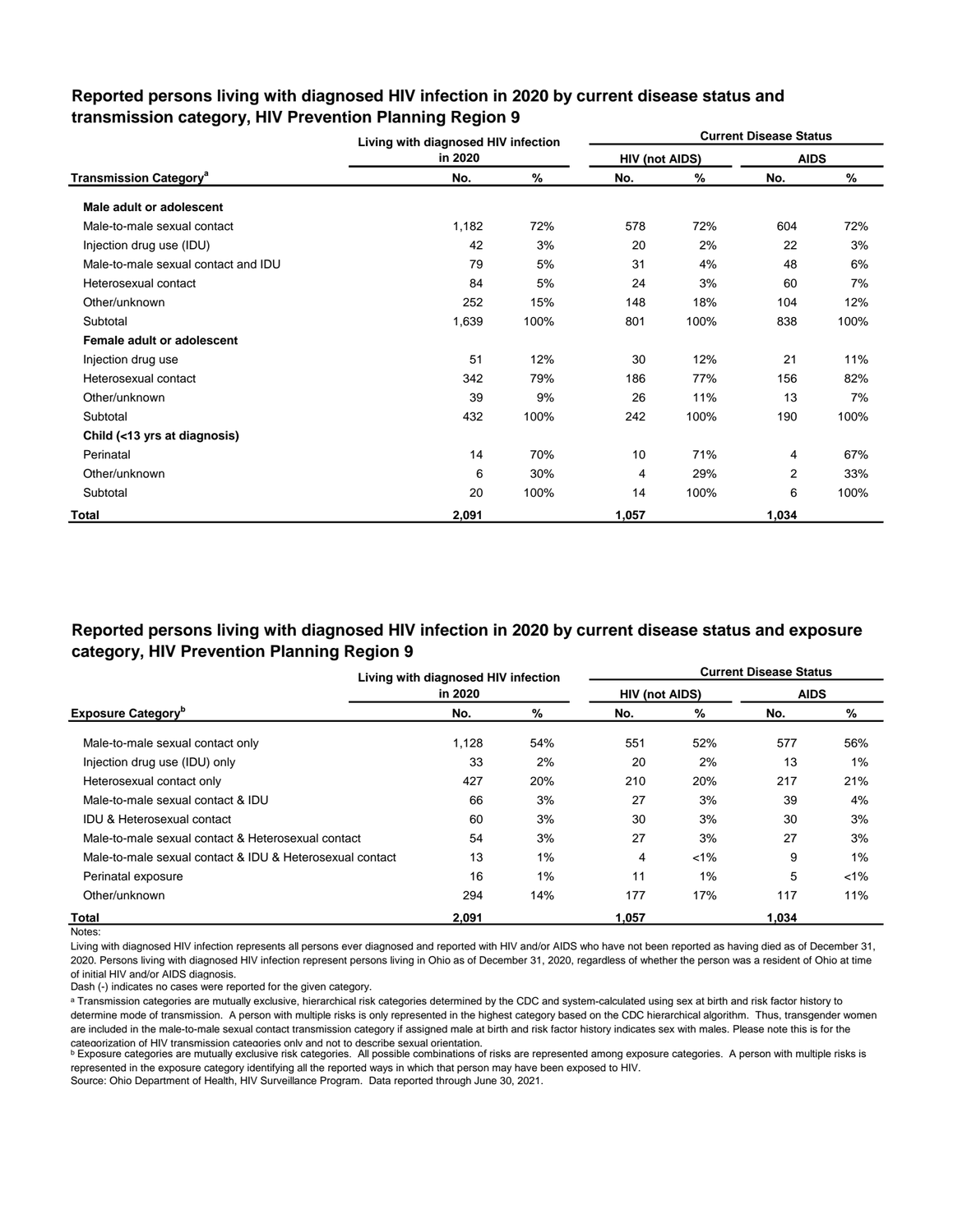|                                          | Living with diagnosed HIV infection |      |                |      | <b>Current Disease Status</b> |      |
|------------------------------------------|-------------------------------------|------|----------------|------|-------------------------------|------|
|                                          | in 2020                             |      | HIV (not AIDS) |      | <b>AIDS</b>                   |      |
| <b>Transmission Category<sup>a</sup></b> | No.                                 | %    | No.            | %    | No.                           | %    |
| Male adult or adolescent                 |                                     |      |                |      |                               |      |
| Male-to-male sexual contact              | 1,182                               | 72%  | 578            | 72%  | 604                           | 72%  |
| Injection drug use (IDU)                 | 42                                  | 3%   | 20             | 2%   | 22                            | 3%   |
| Male-to-male sexual contact and IDU      | 79                                  | 5%   | 31             | 4%   | 48                            | 6%   |
| Heterosexual contact                     | 84                                  | 5%   | 24             | 3%   | 60                            | 7%   |
| Other/unknown                            | 252                                 | 15%  | 148            | 18%  | 104                           | 12%  |
| Subtotal                                 | 1,639                               | 100% | 801            | 100% | 838                           | 100% |
| Female adult or adolescent               |                                     |      |                |      |                               |      |
| Injection drug use                       | 51                                  | 12%  | 30             | 12%  | 21                            | 11%  |
| Heterosexual contact                     | 342                                 | 79%  | 186            | 77%  | 156                           | 82%  |
| Other/unknown                            | 39                                  | 9%   | 26             | 11%  | 13                            | 7%   |
| Subtotal                                 | 432                                 | 100% | 242            | 100% | 190                           | 100% |
| Child (<13 yrs at diagnosis)             |                                     |      |                |      |                               |      |
| Perinatal                                | 14                                  | 70%  | 10             | 71%  | 4                             | 67%  |
| Other/unknown                            | 6                                   | 30%  | 4              | 29%  | 2                             | 33%  |
| Subtotal                                 | 20                                  | 100% | 14             | 100% | 6                             | 100% |
| Total                                    | 2,091                               |      | 1,057          |      | 1,034                         |      |

## **Reported persons living with diagnosed HIV infection in 2020 by current disease status and transmission category, HIV Prevention Planning Region 9**

## **Reported persons living with diagnosed HIV infection in 2020 by current disease status and exposure category, HIV Prevention Planning Region 9**

|                                                          | Living with diagnosed HIV infection |     |                       |         | <b>Current Disease Status</b> |         |
|----------------------------------------------------------|-------------------------------------|-----|-----------------------|---------|-------------------------------|---------|
|                                                          | in 2020                             |     | <b>HIV (not AIDS)</b> |         | <b>AIDS</b>                   |         |
| <b>Exposure Category</b> <sup>b</sup>                    | No.                                 | %   | No.                   | %       | No.                           | %       |
| Male-to-male sexual contact only                         | 1,128                               | 54% | 551                   | 52%     | 577                           | 56%     |
| Injection drug use (IDU) only                            | 33                                  | 2%  | 20                    | 2%      | 13                            | $1\%$   |
| Heterosexual contact only                                | 427                                 | 20% | 210                   | 20%     | 217                           | 21%     |
| Male-to-male sexual contact & IDU                        | 66                                  | 3%  | 27                    | 3%      | 39                            | 4%      |
| <b>IDU &amp; Heterosexual contact</b>                    | 60                                  | 3%  | 30                    | 3%      | 30                            | 3%      |
| Male-to-male sexual contact & Heterosexual contact       | 54                                  | 3%  | 27                    | 3%      | 27                            | 3%      |
| Male-to-male sexual contact & IDU & Heterosexual contact | 13                                  | 1%  | 4                     | $< 1\%$ | 9                             | $1\%$   |
| Perinatal exposure                                       | 16                                  | 1%  | 11                    | 1%      | 5                             | $< 1\%$ |
| Other/unknown                                            | 294                                 | 14% | 177                   | 17%     | 117                           | 11%     |
| Total                                                    | 2.091                               |     | 1.057                 |         | 1.034                         |         |

Notes:

Living with diagnosed HIV infection represents all persons ever diagnosed and reported with HIV and/or AIDS who have not been reported as having died as of December 31, 2020. Persons living with diagnosed HIV infection represent persons living in Ohio as of December 31, 2020, regardless of whether the person was a resident of Ohio at time of initial HIV and/or AIDS diagnosis.

Dash (-) indicates no cases were reported for the given category.

a Transmission categories are mutually exclusive, hierarchical risk categories determined by the CDC and system-calculated using sex at birth and risk factor history to determine mode of transmission. A person with multiple risks is only represented in the highest category based on the CDC hierarchical algorithm. Thus, transgender women are included in the male-to-male sexual contact transmission category if assigned male at birth and risk factor history indicates sex with males. Please note this is for the categorization of HIV transmission categories only and not to describe sexual orientation.

**b** Exposure categories are mutually exclusive risk categories. All possible combinations of risks are represented among exposure categories. A person with multiple risks is represented in the exposure category identifying all the reported ways in which that person may have been exposed to HIV.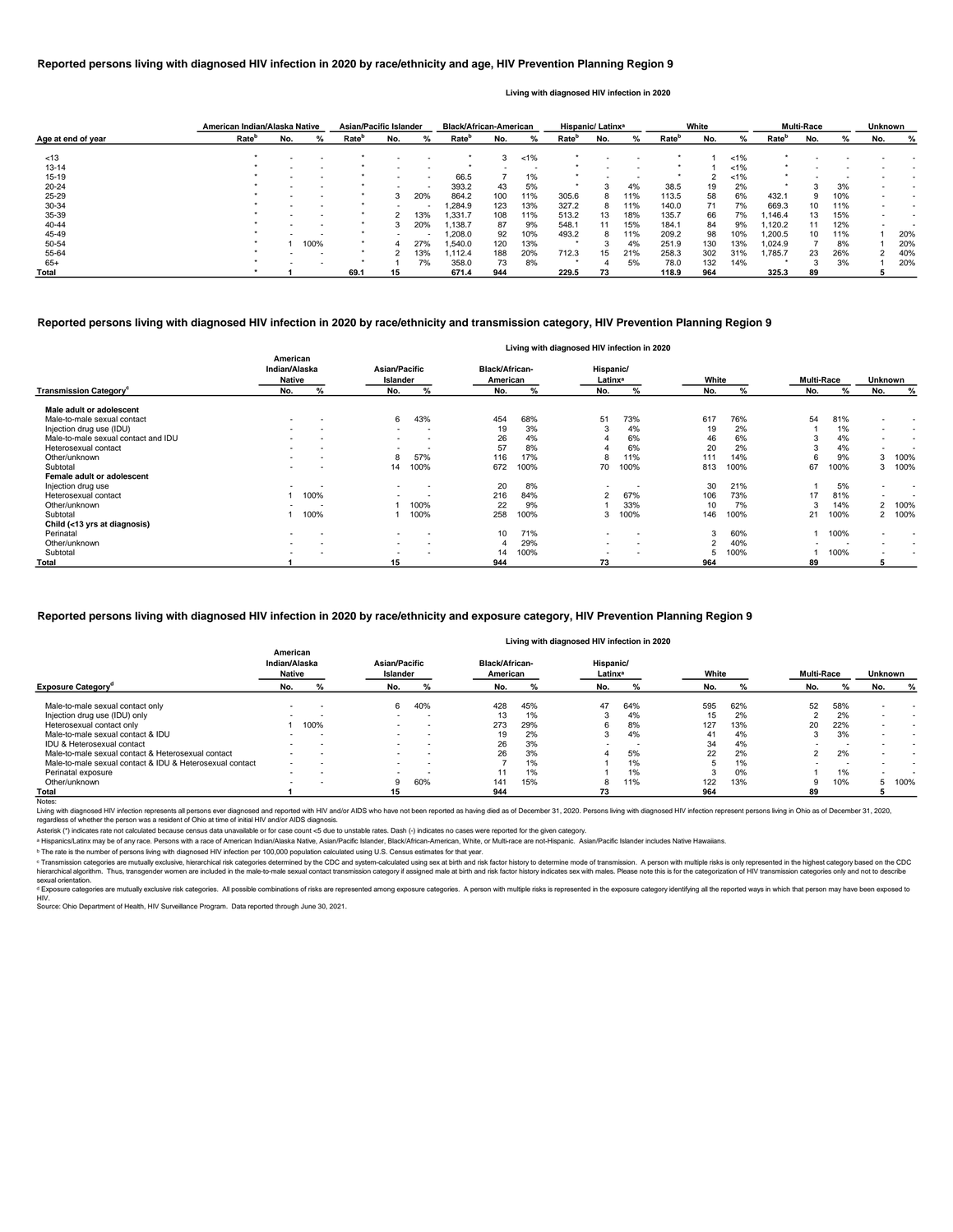|                    | American Indian/Alaska Native |                          |      | <b>Asian/Pacific Islander</b> |     |                          | <b>Black/African-American</b> |     |         |                   | Hispanic/ Latinx <sup>a</sup> |     |                   | White |         |                   | <b>Multi-Race</b> |     | <b>Unknown</b> |     |
|--------------------|-------------------------------|--------------------------|------|-------------------------------|-----|--------------------------|-------------------------------|-----|---------|-------------------|-------------------------------|-----|-------------------|-------|---------|-------------------|-------------------|-----|----------------|-----|
| Age at end of year | Rate <sup>b</sup>             | No.                      | %    | Rate <sup>p</sup>             | No. | %                        | Rate <sup>b</sup>             | No. | %       | Rate <sup>r</sup> | No.                           | %   | Rate <sup>p</sup> | No.   | ℅       | Rate <sup>r</sup> | No.               | %   | No.            | %   |
|                    |                               |                          |      |                               |     |                          |                               |     |         |                   |                               |     |                   |       | $< 1\%$ |                   |                   |     |                |     |
| < 13               |                               |                          |      |                               |     | $\,$ $\,$                |                               |     | $< 1\%$ |                   |                               |     |                   |       |         |                   |                   |     |                |     |
| $13 - 14$          |                               |                          |      |                               |     |                          |                               |     |         |                   |                               |     |                   |       | $< 1\%$ |                   |                   |     |                |     |
| $15 - 19$          |                               | $\overline{\phantom{0}}$ |      |                               |     | $\sim$                   | 66.5                          |     | 1%      | $\ast$            |                               | . . |                   |       | 1%      | $\star$           |                   |     |                |     |
| $20 - 24$          |                               |                          |      |                               |     | $\overline{\phantom{a}}$ | 393.2                         | 43  | 5%      |                   |                               | 4%  | 38.5              | 19    | 2%      |                   |                   | 3%  |                |     |
| $25 - 29$          |                               | $\overline{\phantom{0}}$ |      |                               | 3   | 20%                      | 864.2                         | 100 | 11%     | 305.6             | 8                             | 11% | 113.5             | 58    | 6%      | 432.1             | 9                 | 10% |                |     |
| 30-34              |                               |                          |      |                               |     | $\,$ $\,$                | .284.9                        | 123 | 13%     | 327.2             | 8                             | 11% | 140.0             | 71    | 7%      | 669.3             | 10                | 11% |                |     |
| 35-39              |                               |                          |      |                               |     | 13%                      | 1,331.7                       | 108 | 11%     | 513.2             | 13                            | 18% | 135.7             | 66    | 7%      | 146.4،،           | 13                | 15% |                |     |
| 40-44              |                               |                          |      |                               |     | 20%                      | ,138.7                        | 87  | 9%      | 548.1             | 11                            | 15% | 184.1             | 84    | 9%      | 1,120.2           | 11                | 12% |                |     |
| 45-49              |                               |                          |      |                               |     |                          | 1,208.0                       | 92  | 10%     | 493.2             | 8                             | 11% | 209.2             | 98    | 10%     | 1,200.5           | 10                | 11% |                | 20% |
| 50-54              |                               |                          | 100% |                               |     | 27%                      | 1,540.0                       | 120 | 13%     |                   |                               | 4%  | 251.9             | 130   | 13%     | 1.024.9           |                   | 8%  |                | 20% |
| 55-64              |                               |                          |      |                               |     | 13%                      | 1,112.4                       | 188 | 20%     | 712.3             | 15                            | 21% | 258.3             | 302   | 31%     | 1,785.7           | 23                | 26% |                | 40% |
| 65+                |                               |                          |      |                               |     | 7%                       | 358.0                         | 73  | 8%      |                   |                               | 5%  | 78.0              | 132   | 14%     |                   |                   | 3%  |                | 20% |
| <b>Total</b>       |                               |                          |      | 69.1                          | 15  |                          | 671.4                         | 944 |         | 229.5             | 73                            |     | 118.9             | 964   |         | 325.3             | 89                |     |                |     |

<sup>c</sup> Transmission categories are mutually exclusive, hierarchical risk categories determined by the CDC and system-calculated using sex at birth and risk factor history to determine mode of transmission. A person with multi hierarchical algorithm. Thus, transgender women are included in the male-to-male sexual contact transmission category if assigned male at birth and risk factor history indicates sex with males. Please note this is for the sexual orientation.

<sup>d</sup> Exposure categories are mutually exclusive risk categories. All possible combinations of risks are represented among exposure categories. A person with multiple risks is represented in the exposure category identifying

|                                           |                                            |                          |                                  |                          |                                   |      |                                  | Living with diagnosed HIV infection in 2020 |                |      |                   |      |                |                          |
|-------------------------------------------|--------------------------------------------|--------------------------|----------------------------------|--------------------------|-----------------------------------|------|----------------------------------|---------------------------------------------|----------------|------|-------------------|------|----------------|--------------------------|
|                                           | American<br>Indian/Alaska<br><b>Native</b> |                          | <b>Asian/Pacific</b><br>Islander |                          | <b>Black/African-</b><br>American |      | Hispanic/<br>Latinx <sup>a</sup> |                                             | White          |      | <b>Multi-Race</b> |      | <b>Unknown</b> |                          |
| <b>Transmission Category</b> <sup>c</sup> | No.                                        | %                        | No.                              | %                        | No.                               | %    | No.                              | %                                           | No.            | %    | No.               | %    | No.            | %                        |
| Male adult or adolescent                  |                                            |                          |                                  |                          |                                   |      |                                  |                                             |                |      |                   |      |                |                          |
| Male-to-male sexual contact               | $\sim$                                     | $\overline{\phantom{a}}$ | 6                                | 43%                      | 454                               | 68%  | 51                               | 73%                                         | 617            | 76%  | 54                | 81%  | $\blacksquare$ | $\overline{\phantom{a}}$ |
| Injection drug use (IDU)                  |                                            |                          | $\sim$                           |                          | 19                                | 3%   | 3                                | 4%                                          | 19             | 2%   |                   | 1%   | $\sim$         | $\overline{\phantom{a}}$ |
| Male-to-male sexual contact and IDU       | $\sim$                                     | $\overline{\phantom{a}}$ | $\blacksquare$                   |                          | 26                                | 4%   |                                  | 6%                                          | 46             | 6%   | 3                 | 4%   | $\sim$         | $\overline{\phantom{a}}$ |
| Heterosexual contact                      |                                            | $\overline{\phantom{a}}$ | $\blacksquare$                   |                          | 57                                | 8%   |                                  | 6%                                          | 20             | 2%   |                   | 4%   | $\sim$         | $\overline{\phantom{a}}$ |
| Other/unknown                             |                                            | $\overline{\phantom{a}}$ | 8                                | 57%                      | 116                               | 17%  | 8                                | 11%                                         | 111            | 14%  | n                 | 9%   | 3              | 100%                     |
| Subtotal                                  | $\sim$                                     | $\overline{\phantom{a}}$ | 14                               | 100%                     | 672                               | 100% | 70                               | 100%                                        | 813            | 100% | 67                | 100% |                | 3 100%                   |
| Female adult or adolescent                |                                            |                          |                                  |                          |                                   |      |                                  |                                             |                |      |                   |      |                |                          |
| Injection drug use                        |                                            |                          | $\sim$                           | $\overline{\phantom{a}}$ | 20                                | 8%   |                                  |                                             | 30             | 21%  |                   | 5%   | $\blacksquare$ | $\overline{\phantom{a}}$ |
| Heterosexual contact                      |                                            | 100%                     | $\sim$                           |                          | 216                               | 84%  | ◠                                | 67%                                         | 106            | 73%  | 17                | 81%  | $\blacksquare$ |                          |
| Other/unknown                             |                                            |                          |                                  | 100%                     | 22                                | 9%   |                                  | 33%                                         | 10             | 7%   | 3                 | 14%  | $2^{\circ}$    | 100%                     |
| Subtotal                                  |                                            | 100%                     |                                  | 100%                     | 258                               | 100% | 3                                | 100%                                        | 146            | 100% | 21                | 100% |                | 2 100%                   |
| Child (<13 yrs at diagnosis)              |                                            |                          |                                  |                          |                                   |      |                                  |                                             |                |      |                   |      |                |                          |
| Perinatal                                 | $\sim$                                     | $\overline{\phantom{a}}$ | $\sim$                           | $\overline{\phantom{a}}$ | 10                                | 71%  | $\sim$                           | $\overline{\phantom{a}}$                    |                | 60%  |                   | 100% | $\blacksquare$ |                          |
| Other/unknown                             | $\sim$                                     | $\overline{\phantom{a}}$ | $\sim$                           | $\sim$                   |                                   | 29%  | $\sim$                           | $\sim$                                      | $\overline{2}$ | 40%  |                   |      | $\blacksquare$ | $\overline{\phantom{a}}$ |
| Subtotal                                  |                                            | $\overline{\phantom{a}}$ | $\sim$                           |                          | 14                                | 100% |                                  | $\overline{\phantom{a}}$                    |                | 100% |                   | 100% | $\blacksquare$ | $\overline{\phantom{a}}$ |
| <b>Total</b>                              |                                            |                          | 15                               |                          | 944                               |      | 73                               |                                             | 964            |      | 89                |      |                |                          |

|                                                          |                                            |      |                           |           |                                   |       | Living with diagnosed HIV infection in 2020 |     |       |     |                   |     |                |      |
|----------------------------------------------------------|--------------------------------------------|------|---------------------------|-----------|-----------------------------------|-------|---------------------------------------------|-----|-------|-----|-------------------|-----|----------------|------|
|                                                          | American<br>Indian/Alaska<br><b>Native</b> |      | Asian/Pacific<br>Islander |           | <b>Black/African-</b><br>American |       | Hispanic/<br>Latinx <sup>a</sup>            |     | White |     | <b>Multi-Race</b> |     | <b>Unknown</b> |      |
| <b>Exposure Category<sup>a</sup></b>                     | No.                                        | %    | No.                       | %         | No.                               | %     | No.                                         |     | No.   | %   | No.               |     | No.            | %    |
| Male-to-male sexual contact only                         |                                            |      | 6                         | 40%       | 428                               | 45%   | 47                                          | 64% | 595   | 62% | 52                | 58% |                |      |
| Injection drug use (IDU) only                            |                                            |      |                           |           | 13                                | 1%    |                                             | 4%  | 15    | 2%  |                   | 2%  |                |      |
| Heterosexual contact only                                |                                            | 100% |                           | $\sim$    | 273                               | 29%   |                                             | 8%  | 127   | 13% | 20                | 22% |                |      |
| Male-to-male sexual contact & IDU                        |                                            |      |                           |           | 19                                | 2%    |                                             | 4%  | 41    | 4%  | 5                 | 3%  |                |      |
| <b>IDU &amp; Heterosexual contact</b>                    | $\overline{\phantom{0}}$                   |      |                           | . .       | 26                                | 3%    |                                             |     | 34    | 4%  |                   |     |                |      |
| Male-to-male sexual contact & Heterosexual contact       |                                            |      |                           | $\,$ $\,$ | 26                                | 3%    |                                             | 5%  | 22    | 2%  |                   | 2%  |                |      |
| Male-to-male sexual contact & IDU & Heterosexual contact | $\sim$                                     |      |                           | $\sim$    |                                   | 1%    |                                             | 1%  |       | 1%  |                   |     |                |      |
| Perinatal exposure                                       |                                            |      |                           |           |                                   | $1\%$ |                                             | 1%  |       | 0%  |                   | 1%  |                |      |
| Other/unknown                                            | $\overline{\phantom{0}}$                   |      |                           | 60%       | 141                               | 15%   |                                             | 11% | 122   | 13% | 9                 | 10% |                | 100% |
| Total                                                    |                                            |      |                           |           | 944                               |       | 73                                          |     | 964   |     | 89                |     |                |      |

Notes:

Living with diagnosed HIV infection represents all persons ever diagnosed and reported with HIV and/or AIDS who have not been reported as having died as of December 31, 2020. Persons living with diagnosed HIV infection rep regardless of whether the person was a resident of Ohio at time of initial HIV and/or AIDS diagnosis.

#### **Reported persons living with diagnosed HIV infection in 2020 by race/ethnicity and transmission category, HIV Prevention Planning Region 9**

#### **Reported persons living with diagnosed HIV infection in 2020 by race/ethnicity and age, HIV Prevention Planning Region 9**

#### **Living with diagnosed HIV infection in 2020**

#### **Reported persons living with diagnosed HIV infection in 2020 by race/ethnicity and exposure category, HIV Prevention Planning Region 9**

ᵇ The rate is the number of persons living with diagnosed HIV infection per 100,000 population calculated using U.S. Census estimates for that year.

Source: Ohio Department of Health, HIV Surveillance Program. Data reported through June 30, 2021. HIV.

Asterisk (\*) indicates rate not calculated because census data unavailable or for case count <5 due to unstable rates. Dash (-) indicates no cases were reported for the given category.

a Hispanics/Latinx may be of any race. Persons with a race of American Indian/Alaska Native, Asian/Pacific Islander, Black/African-American, White, or Multi-race are not-Hispanic. Asian/Pacific Islander includes Native Haw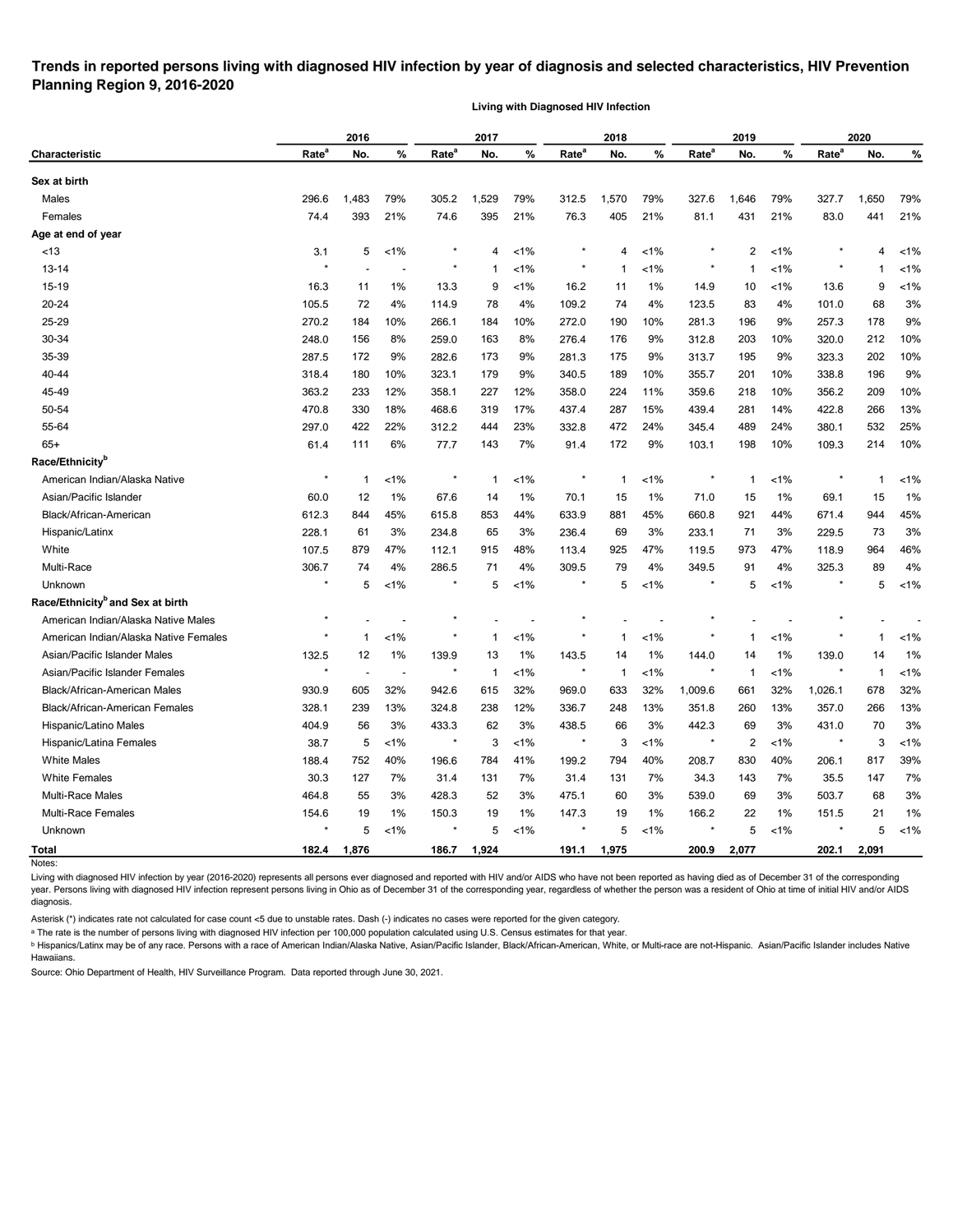## **Trends in reported persons living with diagnosed HIV infection by year of diagnosis and selected characteristics, HIV Prevention Planning Region 9, 2016-2020**

**Living with Diagnosed HIV Infection**

|                                              |                   | 2016           |                          |                   | 2017         |         |                   | 2018        |         |                   | 2019           |         |                   | 2020  |         |
|----------------------------------------------|-------------------|----------------|--------------------------|-------------------|--------------|---------|-------------------|-------------|---------|-------------------|----------------|---------|-------------------|-------|---------|
| Characteristic                               | Rate <sup>a</sup> | No.            | %                        | Rate <sup>a</sup> | No.          | %       | Rate <sup>a</sup> | No.         | %       | Rate <sup>a</sup> | No.            | %       | Rate <sup>a</sup> | No.   | %       |
| Sex at birth                                 |                   |                |                          |                   |              |         |                   |             |         |                   |                |         |                   |       |         |
| Males                                        | 296.6             | 1,483          | 79%                      | 305.2             | .529         | 79%     | 312.5             | 1,570       | 79%     | 327.6             | 1,646          | 79%     | 327.7             | 1,650 | 79%     |
| Females                                      | 74.4              | 393            | 21%                      | 74.6              | 395          | 21%     | 76.3              | 405         | 21%     | 81.1              | 431            | 21%     | 83.0              | 441   | 21%     |
| Age at end of year                           |                   |                |                          |                   |              |         |                   |             |         |                   |                |         |                   |       |         |
| <13                                          | 3.1               | 5              | $1\%$                    |                   | 4            | $< 1\%$ |                   | 4           | $< 1\%$ |                   | 2              | $1\%$   |                   | 4     | $1\%$   |
| $13 - 14$                                    |                   |                |                          |                   | 1            | $< 1\%$ |                   | -1          | $< 1\%$ |                   | -1             | $< 1\%$ |                   | 1     | $< 1\%$ |
| $15 - 19$                                    | 16.3              | 11             | $1\%$                    | 13.3              | 9            | $1\%$   | 16.2              | 11          | 1%      | 14.9              | 10             | $1\%$   | 13.6              | 9     | $< 1\%$ |
| 20-24                                        | 105.5             | 72             | 4%                       | 114.9             | 78           | 4%      | 109.2             | 74          | 4%      | 123.5             | 83             | 4%      | 101.0             | 68    | 3%      |
| 25-29                                        | 270.2             | 184            | 10%                      | 266.1             | 184          | 10%     | 272.0             | 190         | 10%     | 281.3             | 196            | 9%      | 257.3             | 178   | 9%      |
| 30-34                                        | 248.0             | 156            | 8%                       | 259.0             | 163          | 8%      | 276.4             | 176         | 9%      | 312.8             | 203            | 10%     | 320.0             | 212   | 10%     |
| 35-39                                        | 287.5             | 172            | 9%                       | 282.6             | 173          | 9%      | 281.3             | 175         | 9%      | 313.7             | 195            | 9%      | 323.3             | 202   | 10%     |
| 40-44                                        | 318.4             | 180            | 10%                      | 323.1             | 179          | 9%      | 340.5             | 189         | 10%     | 355.7             | 201            | 10%     | 338.8             | 196   | 9%      |
| 45-49                                        | 363.2             | 233            | 12%                      | 358.1             | 227          | 12%     | 358.0             | 224         | 11%     | 359.6             | 218            | 10%     | 356.2             | 209   | 10%     |
| 50-54                                        | 470.8             | 330            | 18%                      | 468.6             | 319          | 17%     | 437.4             | 287         | 15%     | 439.4             | 281            | 14%     | 422.8             | 266   | 13%     |
| 55-64                                        | 297.0             | 422            | 22%                      | 312.2             | 444          | 23%     | 332.8             | 472         | 24%     | 345.4             | 489            | 24%     | 380.1             | 532   | 25%     |
| $65+$                                        | 61.4              | 111            | 6%                       | 77.7              | 143          | 7%      | 91.4              | 172         | 9%      | 103.1             | 198            | 10%     | 109.3             | 214   | 10%     |
| Race/Ethnicity <sup>b</sup>                  |                   |                |                          |                   |              |         |                   |             |         |                   |                |         |                   |       |         |
| American Indian/Alaska Native                | ×                 | $\mathbf 1$    | 1%                       | $\ast$            | $\mathbf{1}$ | $< 1\%$ |                   | $\mathbf 1$ | $< 1\%$ |                   | 1              | $< 1\%$ |                   | 1     | $< 1\%$ |
| Asian/Pacific Islander                       | 60.0              | 12             | 1%                       | 67.6              | 14           | $1\%$   | 70.1              | 15          | $1\%$   | 71.0              | 15             | 1%      | 69.1              | 15    | 1%      |
| Black/African-American                       | 612.3             | 844            | 45%                      | 615.8             | 853          | 44%     | 633.9             | 881         | 45%     | 660.8             | 921            | 44%     | 671.4             | 944   | 45%     |
| Hispanic/Latinx                              | 228.1             | 61             | 3%                       | 234.8             | 65           | 3%      | 236.4             | 69          | 3%      | 233.1             | 71             | 3%      | 229.5             | 73    | 3%      |
| White                                        | 107.5             | 879            | 47%                      | 112.1             | 915          | 48%     | 113.4             | 925         | 47%     | 119.5             | 973            | 47%     | 118.9             | 964   | 46%     |
| Multi-Race                                   | 306.7             | 74             | 4%                       | 286.5             | 71           | 4%      | 309.5             | 79          | 4%      | 349.5             | 91             | 4%      | 325.3             | 89    | 4%      |
| Unknown                                      | $\ast$            | 5              | 1%                       |                   | 5            | $1\%$   |                   | 5           | <1%     |                   | 5              | $< 1\%$ |                   | 5     | $< 1\%$ |
| Race/Ethnicity <sup>b</sup> and Sex at birth |                   |                |                          |                   |              |         |                   |             |         |                   |                |         |                   |       |         |
| American Indian/Alaska Native Males          | $\ast$            |                |                          |                   |              |         |                   |             |         |                   |                |         |                   |       |         |
| American Indian/Alaska Native Females        |                   | -1             | 1%                       |                   | 1            | $1\%$   |                   | 1           | $< 1\%$ |                   | 1              | $< 1\%$ |                   | 1     | $< 1\%$ |
| Asian/Pacific Islander Males                 | 132.5             | 12             | 1%                       | 139.9             | 13           | 1%      | 143.5             | 14          | 1%      | 144.0             | 14             | 1%      | 139.0             | 14    | 1%      |
| Asian/Pacific Islander Females               |                   | $\blacksquare$ | $\overline{\phantom{a}}$ | $\star$           | -1           | $< 1\%$ |                   | -1          | $< 1\%$ |                   | -1             | $1\%$   |                   | -1    | $< 1\%$ |
| <b>Black/African-American Males</b>          | 930.9             | 605            | 32%                      | 942.6             | 615          | 32%     | 969.0             | 633         | 32%     | 1,009.6           | 661            | 32%     | 1,026.1           | 678   | 32%     |
| Black/African-American Females               | 328.1             | 239            | 13%                      | 324.8             | 238          | 12%     | 336.7             | 248         | 13%     | 351.8             | 260            | 13%     | 357.0             | 266   | 13%     |
| Hispanic/Latino Males                        | 404.9             | 56             | 3%                       | 433.3             | 62           | 3%      | 438.5             | 66          | 3%      | 442.3             | 69             | 3%      | 431.0             | 70    | 3%      |
| Hispanic/Latina Females                      | 38.7              | 5              | $<1\%$                   | $\star$           | 3            | $< 1\%$ | $^\star$          | 3           | $< 1\%$ | $\star$           | $\overline{2}$ | $< 1\%$ | $\star$           | 3     | $< 1\%$ |
| <b>White Males</b>                           | 188.4             | 752            | 40%                      | 196.6             | 784          | 41%     | 199.2             | 794         | 40%     | 208.7             | 830            | 40%     | 206.1             | 817   | 39%     |
| <b>White Females</b>                         | 30.3              | 127            | 7%                       | 31.4              | 131          | 7%      | 31.4              | 131         | 7%      | 34.3              | 143            | 7%      | 35.5              | 147   | 7%      |
| Multi-Race Males                             | 464.8             | 55             | 3%                       | 428.3             | 52           | 3%      | 475.1             | 60          | 3%      | 539.0             | 69             | 3%      | 503.7             | 68    | $3%$    |
| Multi-Race Females                           | 154.6             | 19             | 1%                       | 150.3             | 19           | $1\%$   | 147.3             | 19          | $1\%$   | 166.2             | 22             | 1%      | 151.5             | 21    | 1%      |
| Unknown                                      |                   | 5              | $< 1\%$                  | $\star$           | 5            | $< 1\%$ | $\ast$            | 5           | $< 1\%$ |                   | 5              | $< 1\%$ |                   | 5     | $< 1\%$ |
| <b>Total</b>                                 | 182.4             | 1,876          |                          | 186.7             | 1,924        |         | 191.1             | 1,975       |         | 200.9             | 2,077          |         | 202.1             | 2,091 |         |
| Notes:                                       |                   |                |                          |                   |              |         |                   |             |         |                   |                |         |                   |       |         |

Living with diagnosed HIV infection by year (2016-2020) represents all persons ever diagnosed and reported with HIV and/or AIDS who have not been reported as having died as of December 31 of the corresponding year. Persons living with diagnosed HIV infection represent persons living in Ohio as of December 31 of the corresponding year, regardless of whether the person was a resident of Ohio at time of initial HIV and/or AIDS diagnosis.

Asterisk (\*) indicates rate not calculated for case count <5 due to unstable rates. Dash (-) indicates no cases were reported for the given category.

a The rate is the number of persons living with diagnosed HIV infection per 100,000 population calculated using U.S. Census estimates for that year.

**b** Hispanics/Latinx may be of any race. Persons with a race of American Indian/Alaska Native, Asian/Pacific Islander, Black/African-American, White, or Multi-race are not-Hispanic. Asian/Pacific Islander includes Native Hawaiians.